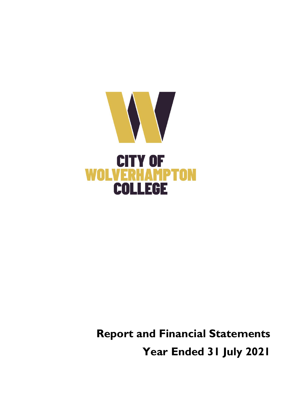

**Report and Financial Statements Year Ended 31 July 2021**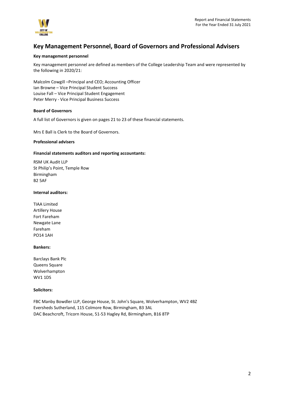

# **Key Management Personnel, Board of Governors and Professional Advisers**

### **Key management personnel**

Key management personnel are defined as members of the College Leadership Team and were represented by the following in 2020/21:

Malcolm Cowgill –Principal and CEO; Accounting Officer Ian Browne – Vice Principal Student Success Louise Fall – Vice Principal Student Engagement Peter Merry - Vice Principal Business Success

### **Board of Governors**

A full list of Governors is given on pages 21 to 23 of these financial statements.

Mrs E Ball is Clerk to the Board of Governors.

### **Professional advisers**

### **Financial statements auditors and reporting accountants:**

RSM UK Audit LLP St Philip's Point, Temple Row Birmingham B2 5AF

### **Internal auditors:**

TIAA Limited Artillery House Fort Fareham Newgate Lane Fareham PO14 1AH

### **Bankers:**

Barclays Bank Plc Queens Square Wolverhampton WV1 1DS

#### **Solicitors:**

FBC Manby Bowdler LLP, George House, St. John's Square, Wolverhampton, WV2 4BZ Eversheds Sutherland, 115 Colmore Row, Birmingham, B3 3AL DAC Beachcroft, Tricorn House, 51-53 Hagley Rd, Birmingham, B16 8TP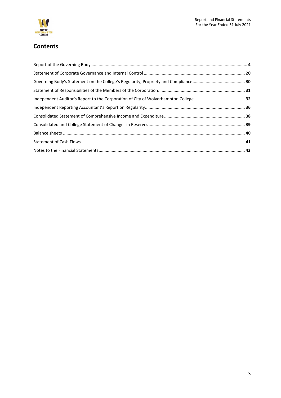

# **Contents**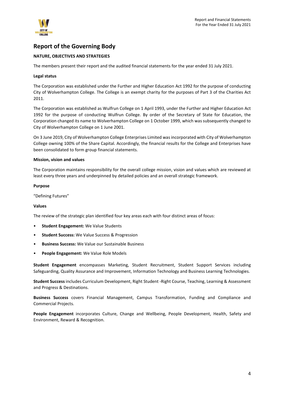

## <span id="page-3-0"></span>**Report of the Governing Body**

### **NATURE, OBJECTIVES AND STRATEGIES**

The members present their report and the audited financial statements for the year ended 31 July 2021.

### **Legal status**

The Corporation was established under the Further and Higher Education Act 1992 for the purpose of conducting City of Wolverhampton College. The College is an exempt charity for the purposes of Part 3 of the Charities Act 2011.

The Corporation was established as Wulfrun College on 1 April 1993, under the Further and Higher Education Act 1992 for the purpose of conducting Wulfrun College. By order of the Secretary of State for Education, the Corporation changed its name to Wolverhampton College on 1 October 1999, which was subsequently changed to City of Wolverhampton College on 1 June 2001.

On 3 June 2019, City of Wolverhampton College Enterprises Limited was incorporated with City of Wolverhampton College owning 100% of the Share Capital. Accordingly, the financial results for the College and Enterprises have been consolidated to form group financial statements.

### **Mission, vision and values**

The Corporation maintains responsibility for the overall college mission, vision and values which are reviewed at least every three years and underpinned by detailed policies and an overall strategic framework.

### **Purpose**

"Defining Futures"

### **Values**

The review of the strategic plan identified four key areas each with four distinct areas of focus:

- **Student Engagement:** We Value Students
- **Student Success:** We Value Success & Progression
- **Business Success:** We Value our Sustainable Business
- **People Engagement:** We Value Role Models

**Student Engagement** encompasses Marketing, Student Recruitment, Student Support Services including Safeguarding, Quality Assurance and Improvement, Information Technology and Business Learning Technologies.

**Student Success** includes Curriculum Development, Right Student -Right Course, Teaching, Learning & Assessment and Progress & Destinations.

**Business Success** covers Financial Management, Campus Transformation, Funding and Compliance and Commercial Projects.

**People Engagement** incorporates Culture, Change and Wellbeing, People Development, Health, Safety and Environment, Reward & Recognition.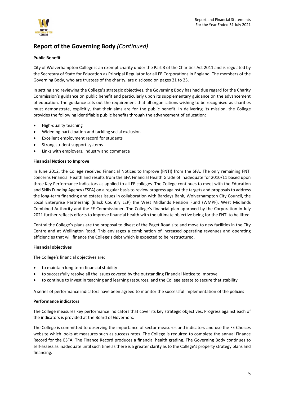

### **Public Benefit**

City of Wolverhampton College is an exempt charity under the Part 3 of the Charities Act 2011 and is regulated by the Secretary of State for Education as Principal Regulator for all FE Corporations in England. The members of the Governing Body, who are trustees of the charity, are disclosed on pages 21 to 23.

In setting and reviewing the College's strategic objectives, the Governing Body has had due regard for the Charity Commission's guidance on public benefit and particularly upon its supplementary guidance on the advancement of education. The guidance sets out the requirement that all organisations wishing to be recognised as charities must demonstrate, explicitly, that their aims are for the public benefit. In delivering its mission, the College provides the following identifiable public benefits through the advancement of education:

- High-quality teaching
- Widening participation and tackling social exclusion
- Excellent employment record for students
- Strong student support systems
- Links with employers, industry and commerce

### **Financial Notices to Improve**

In June 2012, the College received Financial Notices to Improve (FNTI) from the SFA. The only remaining FNTI concerns Financial Health and results from the SFA Financial Health Grade of Inadequate for 2010/11 based upon three Key Performance Indicators as applied to all FE colleges. The College continues to meet with the Education and Skills Funding Agency (ESFA) on a regular basis to review progress against the targets and proposals to address the long-term financing and estates issues in collaboration with Barclays Bank, Wolverhampton City Council, the Local Enterprise Partnership (Black Country LEP) the West Midlands Pension Fund (WMPF), West Midlands Combined Authority and the FE Commissioner. The College's financial plan approved by the Corporation in July 2021 further reflects efforts to improve financial health with the ultimate objective being for the FNTI to be lifted.

Central the College's plans are the proposal to divest of the Paget Road site and move to new facilities in the City Centre and at Wellington Road. This envisages a combination of increased operating revenues and operating efficiencies that will finance the College's debt which is expected to be restructured.

### **Financial objectives**

The College's financial objectives are:

- to maintain long term financial stability
- to successfully resolve all the issues covered by the outstanding Financial Notice to Improve
- to continue to invest in teaching and learning resources, and the College estate to secure that stability

A series of performance indicators have been agreed to monitor the successful implementation of the policies

### **Performance indicators**

The College measures key performance indicators that cover its key strategic objectives. Progress against each of the indicators is provided at the Board of Governors.

The College is committed to observing the importance of sector measures and indicators and use the FE Choices website which looks at measures such as success rates. The College is required to complete the annual Finance Record for the ESFA. The Finance Record produces a financial health grading. The Governing Body continues to self-assess as inadequate until such time as there is a greater clarity as to the College's property strategy plans and financing.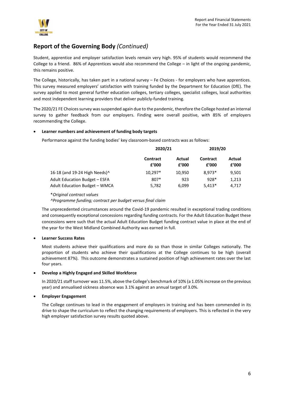

Student, apprentice and employer satisfaction levels remain very high. 95% of students would recommend the College to a friend. 86% of Apprentices would also recommend the College – in light of the ongoing pandemic, this remains positive.

The College, historically, has taken part in a national survey – Fe Choices - for employers who have apprentices. This survey measured employers' satisfaction with training funded by the Department for Education (DfE). The survey applied to most general further education colleges, tertiary colleges, specialist colleges, local authorities and most independent learning providers that deliver publicly-funded training.

The 2020/21 FE Choices survey was suspended again due to the pandemic, therefore the College hosted an internal survey to gather feedback from our employers. Finding were overall positive, with 85% of employers recommending the College.

### • **Learner numbers and achievement of funding body targets**

Performance against the funding bodies' key classroom-based contracts was as follows:

|                                      | 2020/21           | 2019/20         |                          |                 |
|--------------------------------------|-------------------|-----------------|--------------------------|-----------------|
|                                      | Contract<br>f'000 | Actual<br>f'000 | <b>Contract</b><br>f'000 | Actual<br>f'000 |
| 16-18 (and 19-24 High Needs)^        | 10,297*           | 10.950          | $8.973*$                 | 9,501           |
| Adult Education Budget - ESFA        | 807*              | 923             | $928*$                   | 1.213           |
| <b>Adult Education Budget - WMCA</b> | 5,782             | 6.099           | $5,413*$                 | 4.717           |

\**Original contract values*

*^Programme funding; contract per budget versus final claim*

The unprecedented circumstances around the Covid-19 pandemic resulted in exceptional trading conditions and consequently exceptional concessions regarding funding contracts. For the Adult Education Budget these concessions were such that the actual Adult Education Budget funding contract value in place at the end of the year for the West Midland Combined Authority was earned in full.

### • **Learner Success Rates**

Most students achieve their qualifications and more do so than those in similar Colleges nationally. The proportion of students who achieve their qualifications at the College continues to be high (overall achievement 87%). This outcome demonstrates a sustained position of high achievement rates over the last four years.

### • **Develop a Highly Engaged and Skilled Workforce**

In 2020/21 staff turnover was 11.5%, above the College's benchmark of 10% (a 1.05% increase on the previous year) and annualised sickness absence was 3.1% against an annual target of 3.0%.

### • **Employer Engagement**

The College continues to lead in the engagement of employers in training and has been commended in its drive to shape the curriculum to reflect the changing requirements of employers. This is reflected in the very high employer satisfaction survey results quoted above.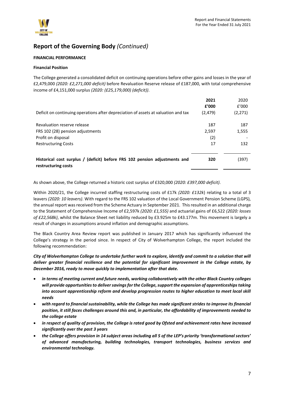

### **FINANCIAL PERFORMANCE**

### **Financial Position**

The College generated a consolidated deficit on continuing operations before other gains and losses in the year of £2,479,000 *(2020: £2,271,000 deficit)* before Revaluation Reserve release of £187,000, with total comprehensive income of £4,151,000 surplus *(2020: (£25,179,000) (deficit))*.

| Deficit on continuing operations after depreciation of assets at valuation and tax                | 2021<br>f'000<br>(2, 479) | 2020<br>f'000<br>(2, 271) |
|---------------------------------------------------------------------------------------------------|---------------------------|---------------------------|
| Revaluation reserve release                                                                       | 187                       | 187                       |
| FRS 102 (28) pension adjustments                                                                  | 2,597                     | 1,555                     |
| Profit on disposal                                                                                | (2)                       |                           |
| <b>Restructuring Costs</b>                                                                        | 17                        | 132                       |
| Historical cost surplus / (deficit) before FRS 102 pension adjustments and<br>restructuring costs | 320                       | (397)                     |

As shown above, the College returned a historic cost surplus of £320,000 *(2020: £397,000 deficit)*.

Within 2020/21, the College incurred staffing restructuring costs of £17k *(2020: £132k*) relating to a total of 3 leavers *(2020: 10 leavers)*. With regard to the FRS 102 valuation of the Local Government Pension Scheme (LGPS), the annual report was received from the Scheme Actuary in September 2021. This resulted in an additional charge to the Statement of Comprehensive Income of £2,597k *(2020: £1,555)* and actuarial gains of £6,522 *(2020: losses of £22,568k)*, whilst the Balance Sheet net liability reduced by £3.925m to £43.177m. This movement is largely a result of changes in assumptions around inflation and demographic assumptions.

The Black Country Area Review report was published in January 2017 which has significantly influenced the College's strategy in the period since. In respect of City of Wolverhampton College, the report included the following recommendation:

*City of Wolverhampton College to undertake further work to explore, identify and commit to a solution that will deliver greater financial resilience and the potential for significant improvement in the College estate, by December 2016, ready to move quickly to implementation after that date.* 

- *in terms of meeting current and future needs, working collaboratively with the other Black Country colleges will provide opportunities to deliver savings for the College, support the expansion of apprenticeships taking into account apprenticeship reform and develop progression routes to higher education to meet local skill needs*
- *with regard to financial sustainability, while the College has made significant strides to improve its financial position, it still faces challenges around this and, in particular, the affordability of improvements needed to the college estate*
- *in respect of quality of provision, the College is rated good by Ofsted and achievement rates have increased significantly over the past 3 years*
- *the College offers provision in 14 subject areas including all 5 of the LEP's priority 'transformational sectors' of advanced manufacturing, building technologies, transport technologies, business services and environmental technology.*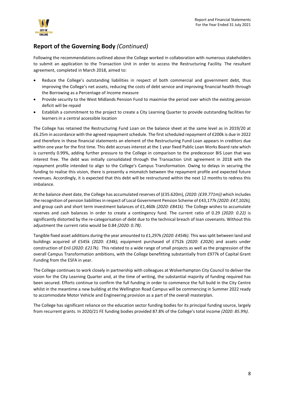

Following the recommendations outlined above the College worked in collaboration with numerous stakeholders to submit an application to the Transaction Unit in order to access the Restructuring Facility. The resultant agreement, completed in March 2018, aimed to:

- Reduce the College's outstanding liabilities in respect of both commercial and government debt, thus improving the College's net assets, reducing the costs of debt service and improving financial health through the Borrowing as a Percentage of Income measure
- Provide security to the West Midlands Pension Fund to maximise the period over which the existing pension deficit will be repaid
- Establish a commitment to the project to create a City Learning Quarter to provide outstanding facilities for learners in a central accessible location

The College has retained the Restructuring Fund Loan on the balance sheet at the same level as in 2019/20 at £6.25m in accordance with the agreed repayment schedule. The first scheduled repayment of £200k is due in 2022 and therefore in these financial statements an element of the Restructuring Fund Loan appears in creditors due within one year for the first time. This debt accrues interest at the 1 year fixed Public Loan Works Board rate which is currently 0.99%, adding further pressure to the College in comparison to the predecessor BIS Loan that was interest free. The debt was initially consolidated through the Transaction Unit agreement in 2018 with the repayment profile intended to align to the College's Campus Transformation. Owing to delays in securing the funding to realise this vision, there is presently a mismatch between the repayment profile and expected future revenues. Accordingly, it is expected that this debt will be restructured within the next 12 months to redress this imbalance.

At the balance sheet date, the College has accumulated reserves of (£35.620m), *(2020: (£39.771m))* which includes the recognition of pension liabilities in respect of Local Government Pension Scheme of £43,177k *(2020: £47,102k),* and group cash and short term investment balances of £1,460k *(2020: £841k)*. The College wishes to accumulate reserves and cash balances in order to create a contingency fund. The current ratio of 0.29 *(2020: 0.22)* is significantly distorted by the re-categorisation of debt due to the technical breach of loan covenants. Without this adjustment the current ratio would be 0.84 *(2020: 0.78)*.

Tangible fixed asset additions during the year amounted to £1,297k *(2020: £454k)*. This was split between land and buildings acquired of £545k *(2020: £34k),* equipment purchased of £752k *(2020: £202k*) and assets under construction of £nil *(2020: £217k)*. This related to a wide range of small projects as well as the progression of the overall Campus Transformation ambitions, with the College benefitting substantially from £977k of Capital Grant Funding from the ESFA in year.

The College continues to work closely in partnership with colleagues at Wolverhampton City Council to deliver the vision for the City Learning Quarter and, at the time of writing, the substantial majority of funding required has been secured. Efforts continue to confirm the full funding in order to commence the full build in the City Centre whilst in the meantime a new building at the Wellington Road Campus will be commencing in Summer 2022 ready to accommodate Motor Vehicle and Engineering provision as a part of the overall masterplan.

The College has significant reliance on the education sector funding bodies for its principal funding source, largely from recurrent grants. In 2020/21 FE funding bodies provided 87.8% of the College's total income *(2020: 85.9%)*.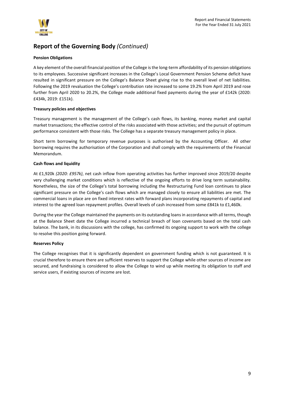

### **Pension Obligations**

A key element of the overall financial position of the College is the long-term affordability of its pension obligations to its employees. Successive significant increases in the College's Local Government Pension Scheme deficit have resulted in significant pressure on the College's Balance Sheet giving rise to the overall level of net liabilities. Following the 2019 revaluation the College's contribution rate increased to some 19.2% from April 2019 and rose further from April 2020 to 20.2%, the College made additional fixed payments during the year of £142k (2020: £434k, 2019: £151k).

### **Treasury policies and objectives**

Treasury management is the management of the College's cash flows, its banking, money market and capital market transactions; the effective control of the risks associated with those activities; and the pursuit of optimum performance consistent with those risks. The College has a separate treasury management policy in place.

Short term borrowing for temporary revenue purposes is authorised by the Accounting Officer. All other borrowing requires the authorisation of the Corporation and shall comply with the requirements of the Financial Memorandum.

### **Cash flows and liquidity**

At £1,920k *(2020: £957k)*, net cash inflow from operating activities has further improved since 2019/20 despite very challenging market conditions which is reflective of the ongoing efforts to drive long term sustainability. Nonetheless, the size of the College's total borrowing including the Restructuring Fund loan continues to place significant pressure on the College's cash flows which are managed closely to ensure all liabilities are met. The commercial loans in place are on fixed interest rates with forward plans incorporating repayments of capital and interest to the agreed loan repayment profiles. Overall levels of cash increased from some £841k to £1,460k.

During the year the College maintained the payments on its outstanding loans in accordance with all terms, though at the Balance Sheet date the College incurred a technical breach of loan covenants based on the total cash balance. The bank, in its discussions with the college, has confirmed its ongoing support to work with the college to resolve this position going forward.

### **Reserves Policy**

The College recognises that it is significantly dependent on government funding which is not guaranteed. It is crucial therefore to ensure there are sufficient reserves to support the College while other sources of income are secured, and fundraising is considered to allow the College to wind up while meeting its obligation to staff and service users, if existing sources of income are lost.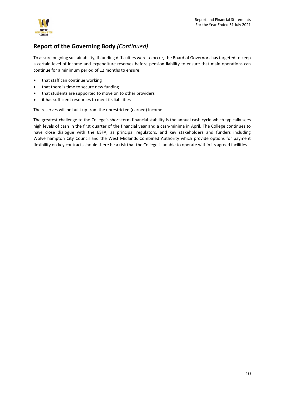

To assure ongoing sustainability, if funding difficulties were to occur, the Board of Governors has targeted to keep a certain level of income and expenditure reserves before pension liability to ensure that main operations can continue for a minimum period of 12 months to ensure:

- that staff can continue working
- that there is time to secure new funding
- that students are supported to move on to other providers
- it has sufficient resources to meet its liabilities

The reserves will be built up from the unrestricted (earned) income.

The greatest challenge to the College's short-term financial stability is the annual cash cycle which typically sees high levels of cash in the first quarter of the financial year and a cash-minima in April. The College continues to have close dialogue with the ESFA, as principal regulators, and key stakeholders and funders including Wolverhampton City Council and the West Midlands Combined Authority which provide options for payment flexibility on key contracts should there be a risk that the College is unable to operate within its agreed facilities.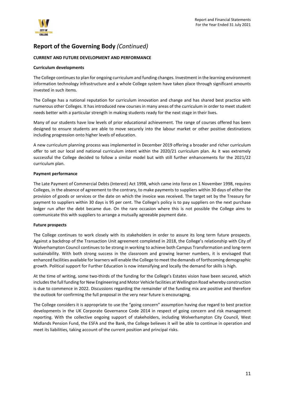

### **CURRENT AND FUTURE DEVELOPMENT AND PERFORMANCE**

### **Curriculum developments**

The College continues to plan for ongoing curriculum and funding changes. Investment in the learning environment information technology infrastructure and a whole College system have taken place through significant amounts invested in such items.

The College has a national reputation for curriculum innovation and change and has shared best practice with numerous other Colleges. It has introduced new courses in many areas of the curriculum in order to meet student needs better with a particular strength in making students ready for the next stage in their lives.

Many of our students have low levels of prior educational achievement. The range of courses offered has been designed to ensure students are able to move securely into the labour market or other positive destinations including progression onto higher levels of education.

A new curriculum planning process was implemented in December 2019 offering a broader and richer curriculum offer to set our local and national curriculum intent within the 2020/21 curriculum plan. As it was extremely successful the College decided to follow a similar model but with still further enhancements for the 2021/22 curriculum plan.

### **Payment performance**

The Late Payment of Commercial Debts (Interest) Act 1998, which came into force on 1 November 1998, requires Colleges, in the absence of agreement to the contrary, to make payments to suppliers within 30 days of either the provision of goods or services or the date on which the invoice was received. The target set by the Treasury for payment to suppliers within 30 days is 95 per cent. The College's policy is to pay suppliers on the next purchase ledger run after the debt became due. On the rare occasion where this is not possible the College aims to communicate this with suppliers to arrange a mutually agreeable payment date.

### **Future prospects**

The College continues to work closely with its stakeholders in order to assure its long term future prospects. Against a backdrop of the Transaction Unit agreement completed in 2018, the College's relationship with City of Wolverhampton Council continues to be strong in working to achieve both Campus Transformation and long-term sustainability. With both strong success in the classroom and growing learner numbers, it is envisaged that enhanced facilities available for learners will enable the College to meet the demands of forthcoming demographic growth. Political support for Further Education is now intensifying and locally the demand for skills is high.

At the time of writing, some two-thirds of the funding for the College's Estates vision have been secured, which includes the full funding for New Engineering and Motor Vehicle facilities at Wellington Road whereby construction is due to commence in 2022. Discussions regarding the remainder of the funding mix are positive and therefore the outlook for confirming the full proposal in the very near future is encouraging.

The College considers it is appropriate to use the "going concern" assumption having due regard to best practice developments in the UK Corporate Governance Code 2014 in respect of going concern and risk management reporting. With the collective ongoing support of stakeholders, including Wolverhampton City Council, West Midlands Pension Fund, the ESFA and the Bank, the College believes it will be able to continue in operation and meet its liabilities, taking account of the current position and principal risks.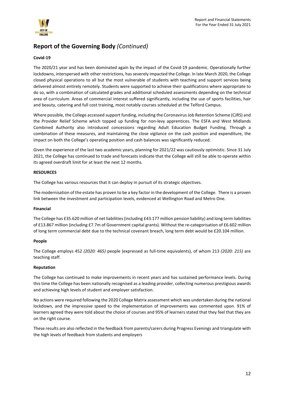

### **Covid-19**

The 2020/21 year and has been dominated again by the impact of the Covid-19 pandemic. Operationally further lockdowns, interspersed with other restrictions, has severely impacted the College. In late March 2020, the College closed physical operations to all but the most vulnerable of students with teaching and support services being delivered almost entirely remotely. Students were supported to achieve their qualifications where appropriate to do so, with a combination of calculated grades and additional scheduled assessments depending on the technical area of curriculum. Areas of commercial interest suffered significantly, including the use of sports facilities, hair and beauty, catering and full cost training, most notably courses scheduled at the Telford Campus.

Where possible, the College accessed support funding, including the Coronavirus Job Retention Scheme (CJRS) and the Provider Relief Scheme which topped up funding for non-levy apprentices. The ESFA and West Midlands Combined Authority also introduced concessions regarding Adult Education Budget Funding. Through a combination of these measures, and maintaining the close vigilance on the cash position and expenditure, the impact on both the College's operating position and cash balances was significantly reduced.

Given the experience of the last two academic years, planning for 2021/22 was cautiously optimistic. Since 31 July 2021, the College has continued to trade and forecasts indicate that the College will still be able to operate within its agreed overdraft limit for at least the next 12 months.

### **RESOURCES**

The College has various resources that it can deploy in pursuit of its strategic objectives.

The modernisation of the estate has proven to be a key factor in the development of the College. There is a proven link between the investment and participation levels, evidenced at Wellington Road and Metro One.

### **Financial**

The College has £35.620 million of net liabilities (including £43.177 million pension liability) and long term liabilities of £13.867 million (including £7.7m of Government capital grants). Without the re-categorisation of £6.602 million of long term commercial debt due to the technical covenant breach, long term debt would be £20.104 million.

### **People**

The College employs 452 *(2020: 465)* people (expressed as full-time equivalents), of whom 213 *(2020: 215)* are teaching staff.

### **Reputation**

The College has continued to make improvements in recent years and has sustained performance levels. During this time the College has been nationally recognised as a leading provider, collecting numerous prestigious awards and achieving high levels of student and employer satisfaction.

No actions were required following the 2020 College Matrix assessment which was undertaken during the national lockdown, and the impressive speed to the implementation of improvements was commented upon. 91% of learners agreed they were told about the choice of courses and 95% of learners stated that they feel that they are on the right course.

These results are also reflected in the feedback from parents/carers during Progress Evenings and triangulate with the high levels of feedback from students and employers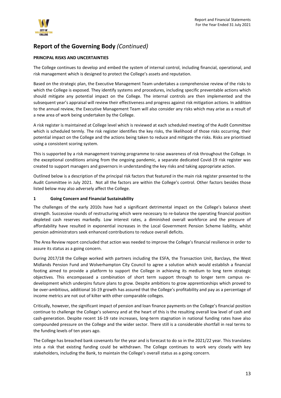

### **PRINCIPAL RISKS AND UNCERTAINTIES**

The College continues to develop and embed the system of internal control, including financial, operational, and risk management which is designed to protect the College's assets and reputation.

Based on the strategic plan, the Executive Management Team undertakes a comprehensive review of the risks to which the College is exposed. They identify systems and procedures, including specific preventable actions which should mitigate any potential impact on the College. The internal controls are then implemented and the subsequent year's appraisal will review their effectiveness and progress against risk mitigation actions. In addition to the annual review, the Executive Management Team will also consider any risks which may arise as a result of a new area of work being undertaken by the College.

A risk register is maintained at College level which is reviewed at each scheduled meeting of the Audit Committee which is scheduled termly. The risk register identifies the key risks, the likelihood of those risks occurring, their potential impact on the College and the actions being taken to reduce and mitigate the risks. Risks are prioritised using a consistent scoring system.

This is supported by a risk management training programme to raise awareness of risk throughout the College. In the exceptional conditions arising from the ongoing pandemic, a separate dedicated Covid-19 risk register was created to support managers and governors in understanding the key risks and taking appropriate action.

Outlined below is a description of the principal risk factors that featured in the main risk register presented to the Audit Committee in July 2021. Not all the factors are within the College's control. Other factors besides those listed below may also adversely affect the College.

### **1 Going Concern and Financial Sustainability**

The challenges of the early 2010s have had a significant detrimental impact on the College's balance sheet strength. Successive rounds of restructuring which were necessary to re-balance the operating financial position depleted cash reserves markedly. Low interest rates, a diminished overall workforce and the pressure of affordability have resulted in exponential increases in the Local Government Pension Scheme liability, whilst pension administrators seek enhanced contributions to reduce overall deficits.

The Area Review report concluded that action was needed to improve the College's financial resilience in order to assure its status as a going concern.

During 2017/18 the College worked with partners including the ESFA, the Transaction Unit, Barclays, the West Midlands Pension Fund and Wolverhampton City Council to agree a solution which would establish a financial footing aimed to provide a platform to support the College in achieving its medium to long term strategic objectives. This encompassed a combination of short term support through to longer term campus redevelopment which underpins future plans to grow. Despite ambitions to grow apprenticeships which proved to be over-ambitious, additional 16-19 growth has assured that the College's profitability and pay as a percentage of income metrics are not out of kilter with other comparable colleges.

Critically, however, the significant impact of pension and loan finance payments on the College's financial position continue to challenge the College's solvency and at the heart of this is the resulting overall low level of cash and cash-generation. Despite recent 16-19 rate increases, long-term stagnation in national funding rates have also compounded pressure on the College and the wider sector. There still is a considerable shortfall in real terms to the funding levels of ten years ago.

The College has breached bank covenants for the year and is forecast to do so in the 2021/22 year. This translates into a risk that existing funding could be withdrawn. The College continues to work very closely with key stakeholders, including the Bank, to maintain the College's overall status as a going concern.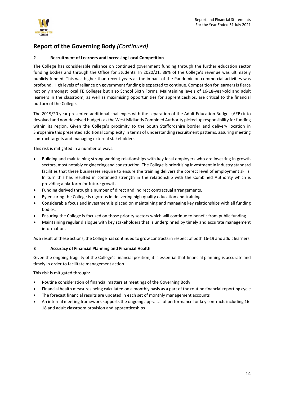

### **2 Recruitment of Learners and Increasing Local Competition**

The College has considerable reliance on continued government funding through the further education sector funding bodies and through the Office for Students. In 2020/21, 88% of the College's revenue was ultimately publicly funded. This was higher than recent years as the impact of the Pandemic on commercial activities was profound. High levels of reliance on government funding is expected to continue. Competition for learners is fierce not only amongst local FE Colleges but also School Sixth Forms. Maintaining levels of 16-18-year-old and adult learners in the classroom, as well as maximising opportunities for apprenticeships, are critical to the financial outturn of the College.

The 2019/20 year presented additional challenges with the separation of the Adult Education Budget (AEB) into devolved and non-devolved budgets as the West Midlands Combined Authority picked up responsibility for funding within its region. Given the College's proximity to the South Staffordshire border and delivery location in Shropshire this presented additional complexity in terms of understanding recruitment patterns, assuring meeting contract targets and managing external stakeholders.

This risk is mitigated in a number of ways:

- Building and maintaining strong working relationships with key local employers who are investing in growth sectors, most notably engineering and construction. The College is prioritising investment in industry standard facilities that these businesses require to ensure the training delivers the correct level of employment skills. In turn this has resulted in continued strength in the relationship with the Combined Authority which is providing a platform for future growth.
- Funding derived through a number of direct and indirect contractual arrangements.
- By ensuring the College is rigorous in delivering high quality education and training.
- Considerable focus and investment is placed on maintaining and managing key relationships with all funding bodies.
- Ensuring the College is focused on those priority sectors which will continue to benefit from public funding.
- Maintaining regular dialogue with key stakeholders that is underpinned by timely and accurate management information.

As a result of these actions, the College has continued to grow contracts in respect of both 16-19 and adult learners.

### **3 Accuracy of Financial Planning and Financial Health**

Given the ongoing fragility of the College's financial position, it is essential that financial planning is accurate and timely in order to facilitate management action.

This risk is mitigated through:

- Routine consideration of financial matters at meetings of the Governing Body
- Financial health measures being calculated on a monthly basis as a part of the routine financial reporting cycle
- The forecast financial results are updated in each set of monthly management accounts
- An internal meeting framework supports the ongoing appraisal of performance for key contracts including 16- 18 and adult classroom provision and apprenticeships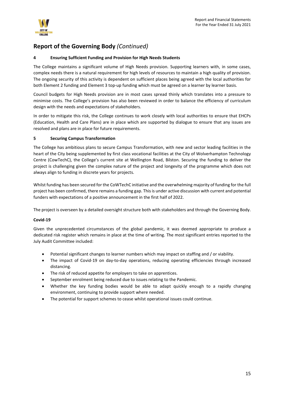

### **4 Ensuring Sufficient Funding and Provision for High Needs Students**

The College maintains a significant volume of High Needs provision. Supporting learners with, in some cases, complex needs there is a natural requirement for high levels of resources to maintain a high quality of provision. The ongoing security of this activity is dependent on sufficient places being agreed with the local authorities for both Element 2 funding and Element 3 top-up funding which must be agreed on a learner by learner basis.

Council budgets for High Needs provision are in most cases spread thinly which translates into a pressure to minimise costs. The College's provision has also been reviewed in order to balance the efficiency of curriculum design with the needs and expectations of stakeholders.

In order to mitigate this risk, the College continues to work closely with local authorities to ensure that EHCPs (Education, Health and Care Plans) are in place which are supported by dialogue to ensure that any issues are resolved and plans are in place for future requirements.

### **5 Securing Campus Transformation**

The College has ambitious plans to secure Campus Transformation, with new and sector leading facilities in the heart of the City being supplemented by first class vocational facilities at the City of Wolverhampton Technology Centre (CowTechC), the College's current site at Wellington Road, Bilston. Securing the funding to deliver the project is challenging given the complex nature of the project and longevity of the programme which does not always align to funding in discrete years for projects.

Whilst funding has been secured for the CoWTechC initiative and the overwhelming majority of funding for the full project has been confirmed, there remains a funding gap. This is under active discussion with current and potential funders with expectations of a positive announcement in the first half of 2022.

The project is overseen by a detailed oversight structure both with stakeholders and through the Governing Body.

### **Covid-19**

Given the unprecedented circumstances of the global pandemic, it was deemed appropriate to produce a dedicated risk register which remains in place at the time of writing. The most significant entries reported to the July Audit Committee included:

- Potential significant changes to learner numbers which may impact on staffing and / or viability.
- The impact of Covid-19 on day-to-day operations, reducing operating efficiencies through increased distancing.
- The risk of reduced appetite for employers to take on apprentices.
- September enrolment being reduced due to issues relating to the Pandemic.
- Whether the key funding bodies would be able to adapt quickly enough to a rapidly changing environment, continuing to provide support where needed.
- The potential for support schemes to cease whilst operational issues could continue.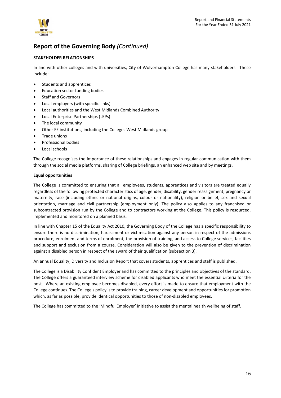

### **STAKEHOLDER RELATIONSHIPS**

In line with other colleges and with universities, City of Wolverhampton College has many stakeholders. These include:

- Students and apprentices
- Education sector funding bodies
- Staff and Governors
- Local employers (with specific links)
- Local authorities and the West Midlands Combined Authority
- Local Enterprise Partnerships (LEPs)
- The local community
- Other FE institutions, including the Colleges West Midlands group
- Trade unions
- Professional bodies
- Local schools

The College recognises the importance of these relationships and engages in regular communication with them through the social media platforms, sharing of College briefings, an enhanced web site and by meetings.

### **Equal opportunities**

The College is committed to ensuring that all employees, students, apprentices and visitors are treated equally regardless of the following protected characteristics of age, gender, disability, gender reassignment, pregnancy or maternity, race (including ethnic or national origins, colour or nationality), religion or belief, sex and sexual orientation, marriage and civil partnership (employment only). The policy also applies to any franchised or subcontracted provision run by the College and to contractors working at the College. This policy is resourced, implemented and monitored on a planned basis.

In line with Chapter 15 of the Equality Act 2010, the Governing Body of the College has a specific responsibility to ensure there is no discrimination, harassment or victimisation against any person in respect of the admissions procedure, enrolment and terms of enrolment, the provision of training, and access to College services, facilities and support and exclusion from a course. Consideration will also be given to the prevention of discrimination against a disabled person in respect of the award of their qualification (subsection 3).

An annual Equality, Diversity and Inclusion Report that covers students, apprentices and staff is published.

The College is a Disability Confident Employer and has committed to the principles and objectives of the standard. The College offers a guaranteed interview scheme for disabled applicants who meet the essential criteria for the post. Where an existing employee becomes disabled, every effort is made to ensure that employment with the College continues. The College's policy is to provide training, career development and opportunities for promotion which, as far as possible, provide identical opportunities to those of non-disabled employees.

The College has committed to the 'Mindful Employer' initiative to assist the mental health wellbeing of staff.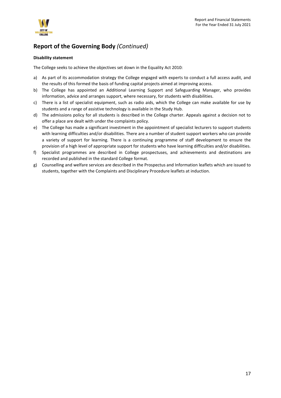

### **Disability statement**

The College seeks to achieve the objectives set down in the Equality Act 2010:

- a) As part of its accommodation strategy the College engaged with experts to conduct a full access audit, and the results of this formed the basis of funding capital projects aimed at improving access.
- b) The College has appointed an Additional Learning Support and Safeguarding Manager, who provides information, advice and arranges support, where necessary, for students with disabilities.
- c) There is a list of specialist equipment, such as radio aids, which the College can make available for use by students and a range of assistive technology is available in the Study Hub.
- d) The admissions policy for all students is described in the College charter. Appeals against a decision not to offer a place are dealt with under the complaints policy.
- e) The College has made a significant investment in the appointment of specialist lecturers to support students with learning difficulties and/or disabilities. There are a number of student support workers who can provide a variety of support for learning. There is a continuing programme of staff development to ensure the provision of a high level of appropriate support for students who have learning difficulties and/or disabilities.
- f) Specialist programmes are described in College prospectuses, and achievements and destinations are recorded and published in the standard College format.
- g) Counselling and welfare services are described in the Prospectus and Information leaflets which are issued to students, together with the Complaints and Disciplinary Procedure leaflets at induction.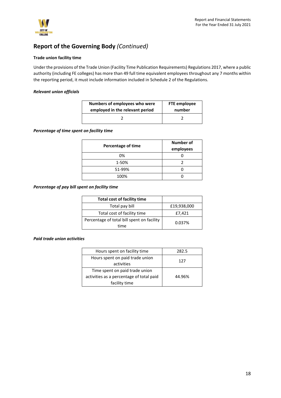

### **Trade union facility time**

Under the provisions of the Trade Union (Facility Time Publication Requirements) Regulations 2017, where a public authority (including FE colleges) has more than 49 full time equivalent employees throughout any 7 months within the reporting period, it must include information included in Schedule 2 of the Regulations.

### *Relevant union officials*

| Numbers of employees who were   | FTE employee |
|---------------------------------|--------------|
| employed in the relevant period | number       |
|                                 |              |

### *Percentage of time spent on facility time*

| <b>Percentage of time</b> | Number of<br>employees |
|---------------------------|------------------------|
| 0%                        |                        |
| 1-50%                     |                        |
| 51-99%                    |                        |
| 100%                      |                        |

### *Percentage of pay bill spent on facility time*

| <b>Total cost of facility time</b>                 |             |
|----------------------------------------------------|-------------|
| Total pay bill                                     | £19,938,000 |
| Total cost of facility time                        | £7,421      |
| Percentage of total bill spent on facility<br>time | 0.037%      |

### *Paid trade union activities*

| Hours spent on facility time             | 282.5  |  |
|------------------------------------------|--------|--|
| Hours spent on paid trade union          | 127    |  |
| activities                               |        |  |
| Time spent on paid trade union           |        |  |
| activities as a percentage of total paid | 44.96% |  |
| facility time                            |        |  |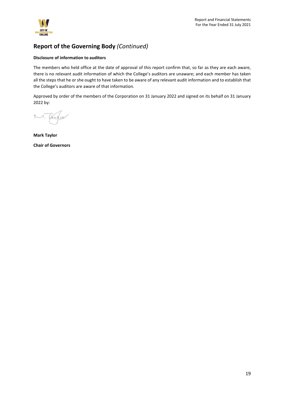

### **Disclosure of information to auditors**

The members who held office at the date of approval of this report confirm that, so far as they are each aware, there is no relevant audit information of which the College's auditors are unaware; and each member has taken all the steps that he or she ought to have taken to be aware of any relevant audit information and to establish that the College's auditors are aware of that information.

Approved by order of the members of the Corporation on 31 January 2022 and signed on its behalf on 31 January 2022 by:

 $\sqrt{ }$  $\sqrt{a}$ 

**Mark Taylor Chair of Governors**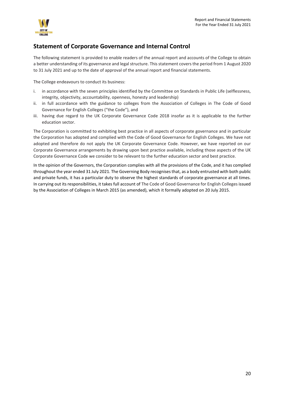

## <span id="page-19-0"></span>**Statement of Corporate Governance and Internal Control**

The following statement is provided to enable readers of the annual report and accounts of the College to obtain a better understanding of its governance and legal structure. This statement covers the period from 1 August 2020 to 31 July 2021 and up to the date of approval of the annual report and financial statements.

The College endeavours to conduct its business:

- i. in accordance with the seven principles identified by the Committee on Standards in Public Life (selflessness, integrity, objectivity, accountability, openness, honesty and leadership)
- ii. in full accordance with the guidance to colleges from the Association of Colleges in The Code of Good Governance for English Colleges ("the Code"), and
- iii. having due regard to the UK Corporate Governance Code 2018 insofar as it is applicable to the further education sector.

The Corporation is committed to exhibiting best practice in all aspects of corporate governance and in particular the Corporation has adopted and complied with the Code of Good Governance for English Colleges. We have not adopted and therefore do not apply the UK Corporate Governance Code. However, we have reported on our Corporate Governance arrangements by drawing upon best practice available, including those aspects of the UK Corporate Governance Code we consider to be relevant to the further education sector and best practice.

In the opinion of the Governors, the Corporation complies with all the provisions of the Code, and it has complied throughout the year ended 31 July 2021. The Governing Body recognises that, as a body entrusted with both public and private funds, it has a particular duty to observe the highest standards of corporate governance at all times. In carrying out its responsibilities, it takes full account of The Code of Good Governance for English Colleges issued by the Association of Colleges in March 2015 (as amended), which it formally adopted on 20 July 2015.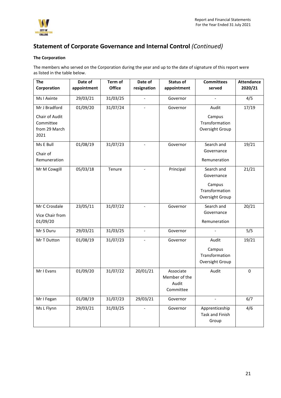

### **The Corporation**

The members who served on the Corporation during the year and up to the date of signature of this report were as listed in the table below.

| <b>The</b>      | Date of     | Term of       | Date of                  | Status of     | <b>Committees</b>      | <b>Attendance</b> |
|-----------------|-------------|---------------|--------------------------|---------------|------------------------|-------------------|
| Corporation     | appointment | <b>Office</b> | resignation              | appointment   | served                 | 2020/21           |
| Ms I Axinte     | 29/03/21    | 31/03/25      |                          | Governor      |                        | 4/5               |
| Mr J Bradford   | 01/09/20    | 31/07/24      | $\overline{a}$           | Governor      | Audit                  | 17/19             |
| Chair of Audit  |             |               |                          |               | Campus                 |                   |
| Committee       |             |               |                          |               | Transformation         |                   |
| from 29 March   |             |               |                          |               | Oversight Group        |                   |
| 2021            |             |               |                          |               |                        |                   |
| Ms E Bull       | 01/08/19    | 31/07/23      |                          | Governor      | Search and             | 19/21             |
| Chair of        |             |               |                          |               | Governance             |                   |
| Remuneration    |             |               |                          |               | Remuneration           |                   |
| Mr M Cowgill    | 05/03/18    | Tenure        | $\overline{\phantom{a}}$ | Principal     | Search and             | 21/21             |
|                 |             |               |                          |               | Governance             |                   |
|                 |             |               |                          |               | Campus                 |                   |
|                 |             |               |                          |               | Transformation         |                   |
|                 |             |               |                          |               | Oversight Group        |                   |
| Mr C Crosdale   | 23/05/11    | 31/07/22      | $\blacksquare$           | Governor      | Search and             | 20/21             |
| Vice Chair from |             |               |                          |               | Governance             |                   |
| 01/09/20        |             |               |                          |               | Remuneration           |                   |
| Mr S Duru       | 29/03/21    | 31/03/25      | $\overline{\phantom{a}}$ | Governor      | $\blacksquare$         | 5/5               |
| Mr T Dutton     | 01/08/19    | 31/07/23      |                          | Governor      | Audit                  | 19/21             |
|                 |             |               |                          |               | Campus                 |                   |
|                 |             |               |                          |               | Transformation         |                   |
|                 |             |               |                          |               | Oversight Group        |                   |
| Mr I Evans      | 01/09/20    | 31/07/22      | 20/01/21                 | Associate     | Audit                  | 0                 |
|                 |             |               |                          | Member of the |                        |                   |
|                 |             |               |                          | Audit         |                        |                   |
|                 |             |               |                          | Committee     |                        |                   |
| Mr I Fegan      | 01/08/19    | 31/07/23      | 29/03/21                 | Governor      | $\overline{a}$         | 6/7               |
| Ms L Flynn      | 29/03/21    | 31/03/25      |                          | Governor      | Apprenticeship         | 4/6               |
|                 |             |               |                          |               | <b>Task and Finish</b> |                   |
|                 |             |               |                          |               | Group                  |                   |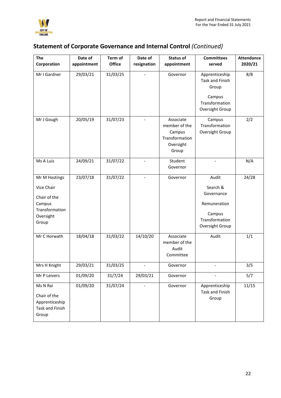

| <b>The</b>                                                             | Date of     | Term of       | Date of                  | <b>Status of</b>                                                             | <b>Committees</b>                                                         | <b>Attendance</b> |
|------------------------------------------------------------------------|-------------|---------------|--------------------------|------------------------------------------------------------------------------|---------------------------------------------------------------------------|-------------------|
| Corporation                                                            | appointment | <b>Office</b> | resignation              | appointment                                                                  | served                                                                    | 2020/21           |
| Mr I Gardner                                                           | 29/03/21    | 31/03/25      |                          | Governor                                                                     | Apprenticeship<br><b>Task and Finish</b><br>Group<br>Campus               | 8/8               |
|                                                                        |             |               |                          |                                                                              | Transformation<br>Oversight Group                                         |                   |
| Mr J Gough                                                             | 20/05/19    | 31/07/23      |                          | Associate<br>member of the<br>Campus<br>Transformation<br>Oversight<br>Group | Campus<br>Transformation<br>Oversight Group                               | 2/2               |
| Ms A Luis                                                              | 24/09/21    | 31/07/22      | $\overline{\phantom{0}}$ | Student<br>Governor                                                          | $\blacksquare$                                                            | N/A               |
| Mr M Hastings<br>Vice Chair                                            | 23/07/18    | 31/07/22      |                          | Governor                                                                     | Audit<br>Search &                                                         | 24/28             |
| Chair of the<br>Campus<br>Transformation<br>Oversight<br>Group         |             |               |                          |                                                                              | Governance<br>Remuneration<br>Campus<br>Transformation<br>Oversight Group |                   |
| Mr C Horwath                                                           | 18/04/18    | 31/03/22      | 14/10/20                 | Associate<br>member of the<br>Audit<br>Committee                             | Audit                                                                     | 1/1               |
| Mrs H Knight                                                           | 29/03/21    | 31/03/25      |                          | Governor                                                                     |                                                                           | 3/5               |
| Mr P Leivers                                                           | 01/09/20    | 31/7/24       | 29/03/21                 | Governor                                                                     |                                                                           | 5/7               |
| Ms N Rai<br>Chair of the<br>Apprenticeship<br>Task and Finish<br>Group | 01/09/20    | 31/07/24      |                          | Governor                                                                     | Apprenticeship<br>Task and Finish<br>Group                                | 11/15             |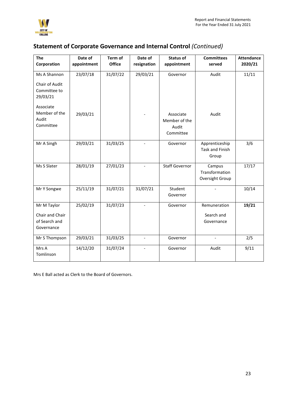

| The                                            | Date of     | <b>Term of</b> | Date of                  | <b>Status of</b>                                 | <b>Committees</b>                                 | <b>Attendance</b> |
|------------------------------------------------|-------------|----------------|--------------------------|--------------------------------------------------|---------------------------------------------------|-------------------|
| Corporation                                    | appointment | <b>Office</b>  | resignation              | appointment                                      | served                                            | 2020/21           |
| Ms A Shannon                                   | 23/07/18    | 31/07/22       | 29/03/21                 | Governor                                         | Audit                                             | 11/11             |
| Chair of Audit<br>Committee to<br>29/03/21     |             |                |                          |                                                  |                                                   |                   |
| Associate                                      |             |                |                          |                                                  |                                                   |                   |
| Member of the<br>Audit<br>Committee            | 29/03/21    |                |                          | Associate<br>Member of the<br>Audit<br>Committee | Audit                                             |                   |
| Mr A Singh                                     | 29/03/21    | 31/03/25       | $\overline{\phantom{a}}$ | Governor                                         | Apprenticeship<br><b>Task and Finish</b><br>Group | 3/6               |
| Ms S Slater                                    | 28/01/19    | 27/01/23       |                          | <b>Staff Governor</b>                            | Campus<br>Transformation<br>Oversight Group       | 17/17             |
| Mr Y Songwe                                    | 25/11/19    | 31/07/21       | 31/07/21                 | Student<br>Governor                              |                                                   | 10/14             |
| Mr M Taylor                                    | 25/02/19    | 31/07/23       |                          | Governor                                         | Remuneration                                      | 19/21             |
| Chair and Chair<br>of Search and<br>Governance |             |                |                          |                                                  | Search and<br>Governance                          |                   |
| Mr S Thompson                                  | 29/03/21    | 31/03/25       | $\overline{\phantom{0}}$ | Governor                                         | $\overline{\phantom{a}}$                          | 2/5               |
| Mrs A<br>Tomlinson                             | 14/12/20    | 31/07/24       | $\overline{\phantom{a}}$ | Governor                                         | Audit                                             | 9/11              |

Mrs E Ball acted as Clerk to the Board of Governors.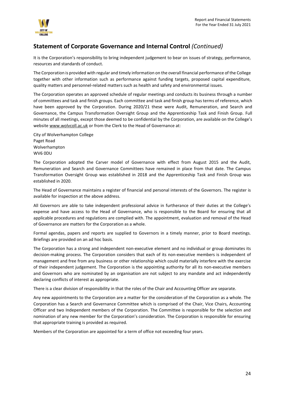

It is the Corporation's responsibility to bring independent judgement to bear on issues of strategy, performance, resources and standards of conduct.

The Corporation is provided with regular and timely information on the overall financial performance of the College together with other information such as performance against funding targets, proposed capital expenditure, quality matters and personnel-related matters such as health and safety and environmental issues.

The Corporation operates an approved schedule of regular meetings and conducts its business through a number of committees and task and finish groups. Each committee and task and finish group has terms of reference, which have been approved by the Corporation. During 2020/21 these were Audit, Remuneration, and Search and Governance, the Campus Transformation Oversight Group and the Apprenticeship Task and Finish Group. Full minutes of all meetings, except those deemed to be confidential by the Corporation, are available on the College's website [www.wolvcoll.ac.uk](http://www.wolvcoll.ac.uk/) or from the Clerk to the Head of Governance at:

City of Wolverhampton College Paget Road Wolverhampton WV6 0DU

The Corporation adopted the Carver model of Governance with effect from August 2015 and the Audit, Remuneration and Search and Governance Committees have remained in place from that date. The Campus Transformation Oversight Group was established in 2018 and the Apprenticeship Task and Finish Group was established in 2020.

The Head of Governance maintains a register of financial and personal interests of the Governors. The register is available for inspection at the above address.

All Governors are able to take independent professional advice in furtherance of their duties at the College's expense and have access to the Head of Governance, who is responsible to the Board for ensuring that all applicable procedures and regulations are complied with. The appointment, evaluation and removal of the Head of Governance are matters for the Corporation as a whole.

Formal agendas, papers and reports are supplied to Governors in a timely manner, prior to Board meetings. Briefings are provided on an ad hoc basis.

The Corporation has a strong and independent non-executive element and no individual or group dominates its decision-making process. The Corporation considers that each of its non-executive members is independent of management and free from any business or other relationship which could materially interfere with the exercise of their independent judgement. The Corporation is the appointing authority for all its non-executive members and Governors who are nominated by an organisation are not subject to any mandate and act independently declaring conflicts of interest as appropriate.

There is a clear division of responsibility in that the roles of the Chair and Accounting Officer are separate.

Any new appointments to the Corporation are a matter for the consideration of the Corporation as a whole. The Corporation has a Search and Governance Committee which is comprised of the Chair, Vice Chairs, Accounting Officer and two Independent members of the Corporation. The Committee is responsible for the selection and nomination of any new member for the Corporation's consideration. The Corporation is responsible for ensuring that appropriate training is provided as required.

Members of the Corporation are appointed for a term of office not exceeding four years.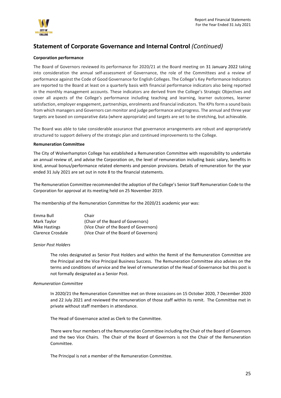

### **Corporation performance**

The Board of Governors reviewed its performance for 2020/21 at the Board meeting on 31 January 2022 taking into consideration the annual self-assessment of Governance, the role of the Committees and a review of performance against the Code of Good Governance for English Colleges. The College's Key Performance Indicators are reported to the Board at least on a quarterly basis with financial performance indicators also being reported in the monthly management accounts. These indicators are derived from the College's Strategic Objectives and cover all aspects of the College's performance including teaching and learning, learner outcomes, learner satisfaction, employer engagement, partnerships, enrolments and financial indicators. The KPIs form a sound basis from which managers and Governors can monitor and judge performance and progress. The annual and three year targets are based on comparative data (where appropriate) and targets are set to be stretching, but achievable.

The Board was able to take considerable assurance that governance arrangements are robust and appropriately structured to support delivery of the strategic plan and continued improvements to the College.

### **Remuneration Committee**

The City of Wolverhampton College has established a Remuneration Committee with responsibility to undertake an annual review of, and advise the Corporation on, the level of remuneration including basic salary, benefits in kind, annual bonus/performance related elements and pension provisions. Details of remuneration for the year ended 31 July 2021 are set out in note 8 to the financial statements.

The Remuneration Committee recommended the adoption of the College's Senior Staff Remuneration Code to the Corporation for approval at its meeting held on 25 November 2019.

The membership of the Remuneration Committee for the 2020/21 academic year was:

| Emma Bull         | Chair                                  |
|-------------------|----------------------------------------|
| Mark Taylor       | (Chair of the Board of Governors)      |
| Mike Hastings     | (Vice Chair of the Board of Governors) |
| Clarence Crosdale | (Vice Chair of the Board of Governors) |

### *Senior Post Holders*

The roles designated as Senior Post Holders and within the Remit of the Remuneration Committee are the Principal and the Vice Principal Business Success. The Remuneration Committee also advises on the terms and conditions of service and the level of remuneration of the Head of Governance but this post is not formally designated as a Senior Post.

### *Remuneration Committee*

In 2020/21 the Remuneration Committee met on three occasions on 15 October 2020, 7 December 2020 and 22 July 2021 and reviewed the remuneration of those staff within its remit. The Committee met in private without staff members in attendance.

The Head of Governance acted as Clerk to the Committee.

There were four members of the Remuneration Committee including the Chair of the Board of Governors and the two Vice Chairs. The Chair of the Board of Governors is not the Chair of the Remuneration Committee.

The Principal is not a member of the Remuneration Committee.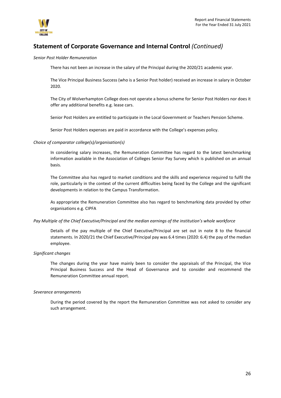

*Senior Post Holder Remuneration*

There has not been an increase in the salary of the Principal during the 2020/21 academic year.

The Vice Principal Business Success (who is a Senior Post holder) received an increase in salary in October 2020.

The City of Wolverhampton College does not operate a bonus scheme for Senior Post Holders nor does it offer any additional benefits e.g. lease cars.

Senior Post Holders are entitled to participate in the Local Government or Teachers Pension Scheme.

Senior Post Holders expenses are paid in accordance with the College's expenses policy.

### *Choice of comparator college(s)/organisation(s)*

In considering salary increases, the Remuneration Committee has regard to the latest benchmarking information available in the Association of Colleges Senior Pay Survey which is published on an annual basis.

The Committee also has regard to market conditions and the skills and experience required to fulfil the role, particularly in the context of the current difficulties being faced by the College and the significant developments in relation to the Campus Transformation.

As appropriate the Remuneration Committee also has regard to benchmarking data provided by other organisations e.g. CIPFA

### *Pay Multiple of the Chief Executive/Principal and the median earnings of the institution's whole workforce*

Details of the pay multiple of the Chief Executive/Principal are set out in note 8 to the financial statements. In 2020/21 the Chief Executive/Principal pay was 6.4 times (2020: 6.4) the pay of the median employee.

### *Significant changes*

The changes during the year have mainly been to consider the appraisals of the Principal, the Vice Principal Business Success and the Head of Governance and to consider and recommend the Remuneration Committee annual report.

#### *Severance arrangements*

During the period covered by the report the Remuneration Committee was not asked to consider any such arrangement.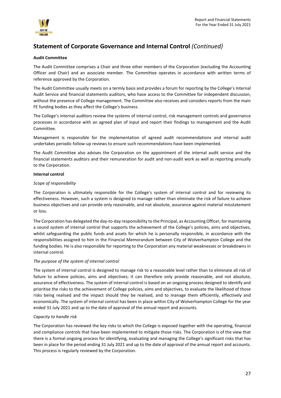

### **Audit Committee**

The Audit Committee comprises a Chair and three other members of the Corporation (excluding the Accounting Officer and Chair) and an associate member. The Committee operates in accordance with written terms of reference approved by the Corporation.

The Audit Committee usually meets on a termly basis and provides a forum for reporting by the College's Internal Audit Service and financial statements auditors, who have access to the Committee for independent discussion, without the presence of College management. The Committee also receives and considers reports from the main FE funding bodies as they affect the College's business.

The College's internal auditors review the systems of internal control, risk management controls and governance processes in accordance with an agreed plan of input and report their findings to management and the Audit Committee.

Management is responsible for the implementation of agreed audit recommendations and internal audit undertakes periodic follow-up reviews to ensure such recommendations have been implemented.

The Audit Committee also advises the Corporation on the appointment of the internal audit service and the financial statements auditors and their remuneration for audit and non-audit work as well as reporting annually to the Corporation.

### **Internal control**

### *Scope of responsibility*

The Corporation is ultimately responsible for the College's system of internal control and for reviewing its effectiveness. However, such a system is designed to manage rather than eliminate the risk of failure to achieve business objectives and can provide only reasonable, and not absolute, assurance against material misstatement or loss.

The Corporation has delegated the day-to-day responsibility to the Principal, as Accounting Officer, for maintaining a sound system of internal control that supports the achievement of the College's policies, aims and objectives, whilst safeguarding the public funds and assets for which he is personally responsible, in accordance with the responsibilities assigned to him in the Financial Memorandum between City of Wolverhampton College and the funding bodies. He is also responsible for reporting to the Corporation any material weaknesses or breakdowns in internal control.

### *The purpose of the system of internal control*

The system of internal control is designed to manage risk to a reasonable level rather than to eliminate all risk of failure to achieve policies, aims and objectives; it can therefore only provide reasonable, and not absolute, assurance of effectiveness. The system of internal control is based on an ongoing process designed to identify and prioritise the risks to the achievement of College policies, aims and objectives, to evaluate the likelihood of those risks being realised and the impact should they be realised, and to manage them efficiently, effectively and economically. The system of internal control has been in place within City of Wolverhampton College for the year ended 31 July 2021 and up to the date of approval of the annual report and accounts.

### *Capacity to handle risk*

The Corporation has reviewed the key risks to which the College is exposed together with the operating, financial and compliance controls that have been implemented to mitigate those risks. The Corporation is of the view that there is a formal ongoing process for identifying, evaluating and managing the College's significant risks that has been in place for the period ending 31 July 2021 and up to the date of approval of the annual report and accounts. This process is regularly reviewed by the Corporation.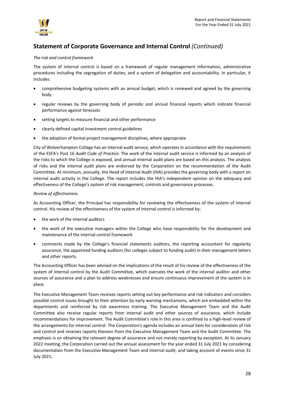

### *The risk and control framework*

The system of internal control is based on a framework of regular management information, administrative procedures including the segregation of duties, and a system of delegation and accountability. In particular, it includes:

- comprehensive budgeting systems with an annual budget, which is reviewed and agreed by the governing body
- regular reviews by the governing body of periodic and annual financial reports which indicate financial performance against forecasts
- setting targets to measure financial and other performance
- clearly defined capital investment control guidelines
- the adoption of formal project management disciplines, where appropriate

City of Wolverhampton College has an internal audit service, which operates in accordance with the requirements of the ESFA's Post 16 *Audit Code of Practice*. The work of the internal audit service is informed by an analysis of the risks to which the College is exposed, and annual internal audit plans are based on this analysis. The analysis of risks and the internal audit plans are endorsed by the Corporation on the recommendation of the Audit Committee. At minimum, annually, the Head of Internal Audit (HIA) provides the governing body with a report on internal audit activity in the College. The report includes the HIA's independent opinion on the adequacy and effectiveness of the College's system of risk management, controls and governance processes.

### *Review of effectiveness*

As Accounting Officer, the Principal has responsibility for reviewing the effectiveness of the system of internal control. His review of the effectiveness of the system of internal control is informed by:

- the work of the internal auditors
- the work of the executive managers within the College who have responsibility for the development and maintenance of the internal control framework
- comments made by the College's financial statements auditors, the reporting accountant for regularity assurance, the appointed funding auditors (for colleges subject to funding audit) in their management letters and other reports.

The Accounting Officer has been advised on the implications of the result of his review of the effectiveness of the system of internal control by the Audit Committee, which oversees the work of the internal auditor and other sources of assurance and a plan to address weaknesses and ensure continuous improvement of the system is in place.

The Executive Management Team receives reports setting out key performance and risk indicators and considers possible control issues brought to their attention by early warning mechanisms, which are embedded within the departments and reinforced by risk awareness training. The Executive Management Team and the Audit Committee also receive regular reports from internal audit and other sources of assurance, which include recommendations for improvement. The Audit Committee's role in this area is confined to a high-level review of the arrangements for internal control. The Corporation's agenda includes an annual item for consideration of risk and control and receives reports thereon from the Executive Management Team and the Audit Committee. The emphasis is on obtaining the relevant degree of assurance and not merely reporting by exception. At its January 2022 meeting, the Corporation carried out the annual assessment for the year ended 31 July 2021 by considering documentation from the Executive Management Team and internal audit, and taking account of events since 31 July 2021.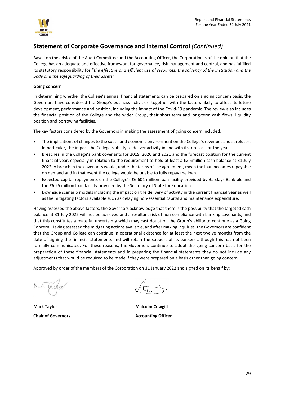

Based on the advice of the Audit Committee and the Accounting Officer, the Corporation is of the opinion that the College has an adequate and effective framework for governance, risk management and control, and has fulfilled its statutory responsibility for "*the effective and efficient use of resources, the solvency of the institution and the body and the safeguarding of their assets*".

### **Going concern**

In determining whether the College's annual financial statements can be prepared on a going concern basis, the Governors have considered the Group's business activities, together with the factors likely to affect its future development, performance and position, including the impact of the Covid-19 pandemic. The review also includes the financial position of the College and the wider Group, their short term and long-term cash flows, liquidity position and borrowing facilities.

The key factors considered by the Governors in making the assessment of going concern included:

- The implications of changes to the social and economic environment on the College's revenues and surpluses. In particular, the impact the College's ability to deliver activity in line with its forecast for the year.
- Breaches in the College's bank covenants for 2019, 2020 and 2021 and the forecast position for the current financial year, especially in relation to the requirement to hold at least a £2.5million cash balance at 31 July 2022. A breach in the covenants would, under the terms of the agreement, mean the loan becomes repayable on demand and in that event the college would be unable to fully repay the loan.
- Expected capital repayments on the College's £6.601 million loan facility provided by Barclays Bank plc and the £6.25 million loan facility provided by the Secretary of State for Education.
- Downside scenario models including the impact on the delivery of activity in the current financial year as well as the mitigating factors available such as delaying non-essential capital and maintenance expenditure.

Having assessed the above factors, the Governors acknowledge that there is the possibility that the targeted cash balance at 31 July 2022 will not be achieved and a resultant risk of non-compliance with banking covenants, and that this constitutes a material uncertainty which may cast doubt on the Group's ability to continue as a Going Concern. Having assessed the mitigating actions available, and after making inquiries, the Governors are confident that the Group and College can continue in operational existence for at least the next twelve months from the date of signing the financial statements and will retain the support of its bankers although this has not been formally communicated. For these reasons, the Governors continue to adopt the going concern basis for the preparation of these financial statements and in preparing the financial statements they do not include any adjustments that would be required to be made if they were prepared on a basis other than going concern.

Approved by order of the members of the Corporation on 31 January 2022 and signed on its behalf by:

**Mark Taylor Malcolm Cowgill Chair of Governors Accounting Officer**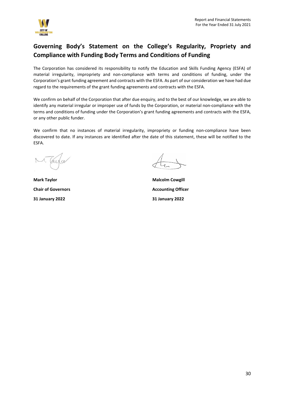

# <span id="page-29-0"></span>**Governing Body's Statement on the College's Regularity, Propriety and Compliance with Funding Body Terms and Conditions of Funding**

The Corporation has considered its responsibility to notify the Education and Skills Funding Agency (ESFA) of material irregularity, impropriety and non-compliance with terms and conditions of funding, under the Corporation's grant funding agreement and contracts with the ESFA. As part of our consideration we have had due regard to the requirements of the grant funding agreements and contracts with the ESFA.

We confirm on behalf of the Corporation that after due enquiry, and to the best of our knowledge, we are able to identify any material irregular or improper use of funds by the Corporation, or material non-compliance with the terms and conditions of funding under the Corporation's grant funding agreements and contracts with the ESFA, or any other public funder.

We confirm that no instances of material irregularity, impropriety or funding non-compliance have been discovered to date. If any instances are identified after the date of this statement, these will be notified to the ESFA.

**Chair of Governors Accounting Officer 31 January 2022 31 January 2022**

**Mark Taylor Malcolm Cowgill**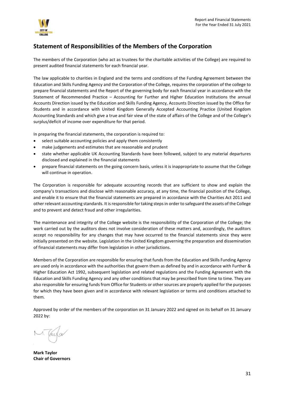

## <span id="page-30-0"></span>**Statement of Responsibilities of the Members of the Corporation**

The members of the Corporation (who act as trustees for the charitable activities of the College) are required to present audited financial statements for each financial year.

The law applicable to charities in England and the terms and conditions of the Funding Agreement between the Education and Skills Funding Agency and the Corporation of the College, requires the corporation of the college to prepare financial statements and the Report of the governing body for each financial year in accordance with the Statement of Recommended Practice – Accounting for Further and Higher Education Institutions the annual Accounts Direction issued by the Education and Skills Funding Agency, Accounts Direction issued by the Office for Students and in accordance with United Kingdom Generally Accepted Accounting Practice (United Kingdom Accounting Standards and which give a true and fair view of the state of affairs of the College and of the College's surplus/deficit of income over expenditure for that period.

In preparing the financial statements, the corporation is required to:

- select suitable accounting policies and apply them consistently
- make judgements and estimates that are reasonable and prudent
- state whether applicable UK Accounting Standards have been followed, subject to any material departures disclosed and explained in the financial statements
- prepare financial statements on the going concern basis, unless it is inappropriate to assume that the College will continue in operation.

The Corporation is responsible for adequate accounting records that are sufficient to show and explain the company's transactions and disclose with reasonable accuracy, at any time, the financial position of the College, and enable it to ensure that the financial statements are prepared in accordance with the Charities Act 2011 and other relevant accounting standards. It is responsible for taking steps in order to safeguard the assets of the College and to prevent and detect fraud and other irregularities.

The maintenance and integrity of the College website is the responsibility of the Corporation of the College; the work carried out by the auditors does not involve consideration of these matters and, accordingly, the auditors accept no responsibility for any changes that may have occurred to the financial statements since they were initially presented on the website. Legislation in the United Kingdom governing the preparation and dissemination of financial statements may differ from legislation in other jurisdictions.

Members of the Corporation are responsible for ensuring that funds from the Education and Skills Funding Agency are used only in accordance with the authorities that govern them as defined by and in accordance with Further & Higher Education Act 1992, subsequent legislation and related regulations and the Funding Agreement with the Education and Skills Funding Agency and any other conditions that may be prescribed from time to time. They are also responsible for ensuring funds from Office for Students or other sources are properly applied for the purposes for which they have been given and in accordance with relevant legislation or terms and conditions attached to them.

Approved by order of the members of the corporation on 31 January 2022 and signed on its behalf on 31 January 2022 by:

**Mark Taylor Chair of Governors**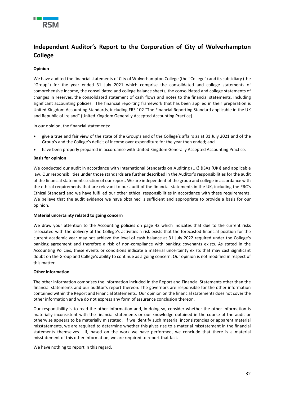

# <span id="page-31-0"></span>**Independent Auditor's Report to the Corporation of City of Wolverhampton College**

### **Opinion**

We have audited the financial statements of City of Wolverhampton College (the "College") and its subsidiary (the "Group") for the year ended 31 July 2021 which comprise the consolidated and college statements of comprehensive income, the consolidated and college balance sheets, the consolidated and college statements of changes in reserves, the consolidated statement of cash flows and notes to the financial statements, including significant accounting policies. The financial reporting framework that has been applied in their preparation is United Kingdom Accounting Standards, including FRS 102 "The Financial Reporting Standard applicable in the UK and Republic of Ireland" (United Kingdom Generally Accepted Accounting Practice).

In our opinion, the financial statements:

- give a true and fair view of the state of the Group's and of the College's affairs as at 31 July 2021 and of the Group's and the College's deficit of income over expenditure for the year then ended; and
- have been properly prepared in accordance with United Kingdom Generally Accepted Accounting Practice.

### **Basis for opinion**

We conducted our audit in accordance with International Standards on Auditing (UK) (ISAs (UK)) and applicable law. Our responsibilities under those standards are further described in the Auditor's responsibilities for the audit of the financial statements section of our report. We are independent of the group and college in accordance with the ethical requirements that are relevant to our audit of the financial statements in the UK, including the FRC's Ethical Standard and we have fulfilled our other ethical responsibilities in accordance with these requirements. We believe that the audit evidence we have obtained is sufficient and appropriate to provide a basis for our opinion.

#### **Material uncertainty related to going concern**

We draw your attention to the Accounting policies on page 42 which indicates that due to the current risks associated with the delivery of the College's activities a risk exists that the forecasted financial position for the current academic year may not achieve the level of cash balance at 31 July 2022 required under the College's banking agreement and therefore a risk of non-compliance with banking covenants exists. As stated in the Accounting Policies, these events or conditions indicate a material uncertainty exists that may cast significant doubt on the Group and College's ability to continue as a going concern. Our opinion is not modified in respect of this matter.

#### **Other information**

The other information comprises the information included in the Report and Financial Statements other than the financial statements and our auditor's report thereon. The governors are responsible for the other information contained within the Report and Financial Statements. Our opinion on the financial statements does not cover the other information and we do not express any form of assurance conclusion thereon.

Our responsibility is to read the other information and, in doing so, consider whether the other information is materially inconsistent with the financial statements or our knowledge obtained in the course of the audit or otherwise appears to be materially misstated. If we identify such material inconsistencies or apparent material misstatements, we are required to determine whether this gives rise to a material misstatement in the financial statements themselves. If, based on the work we have performed, we conclude that there is a material misstatement of this other information, we are required to report that fact.

We have nothing to report in this regard.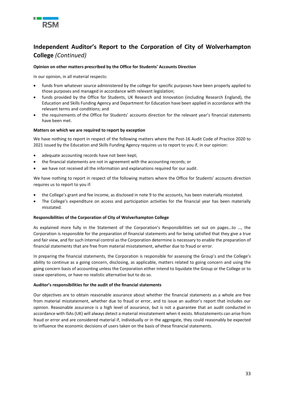

# **Independent Auditor's Report to the Corporation of City of Wolverhampton College** *(Continued)*

### **Opinion on other matters prescribed by the Office for Students' Accounts Direction**

In our opinion, in all material respects:

- funds from whatever source administered by the college for specific purposes have been properly applied to those purposes and managed in accordance with relevant legislation;
- funds provided by the Office for Students, UK Research and Innovation (including Research England), the Education and Skills Funding Agency and Department for Education have been applied in accordance with the relevant terms and conditions; and
- the requirements of the Office for Students' accounts direction for the relevant year's financial statements have been met.

### **Matters on which we are required to report by exception**

We have nothing to report in respect of the following matters where the Post-16 Audit Code of Practice 2020 to 2021 issued by the Education and Skills Funding Agency requires us to report to you if, in our opinion:

- adequate accounting records have not been kept;
- the financial statements are not in agreement with the accounting records; or
- we have not received all the information and explanations required for our audit.

We have nothing to report in respect of the following matters where the Office for Students' accounts direction requires us to report to you if:

- the College's grant and fee income, as disclosed in note 9 to the accounts, has been materially misstated.
- The College's expenditure on access and participation activities for the financial year has been materially misstated.

#### **Responsibilities of the Corporation of City of Wolverhampton College**

As explained more fully in the Statement of the Corporation's Responsibilities set out on pages…to …, the Corporation is responsible for the preparation of financial statements and for being satisfied that they give a true and fair view, and for such internal control as the Corporation determine is necessary to enable the preparation of financial statements that are free from material misstatement, whether due to fraud or error.

In preparing the financial statements, the Corporation is responsible for assessing the Group's and the College's ability to continue as a going concern, disclosing, as applicable, matters related to going concern and using the going concern basis of accounting unless the Corporation either intend to liquidate the Group or the College or to cease operations, or have no realistic alternative but to do so.

#### **Auditor's responsibilities for the audit of the financial statements**

Our objectives are to obtain reasonable assurance about whether the financial statements as a whole are free from material misstatement, whether due to fraud or error, and to issue an auditor's report that includes our opinion. Reasonable assurance is a high level of assurance, but is not a guarantee that an audit conducted in accordance with ISAs (UK) will always detect a material misstatement when it exists. Misstatements can arise from fraud or error and are considered material if, individually or in the aggregate, they could reasonably be expected to influence the economic decisions of users taken on the basis of these financial statements.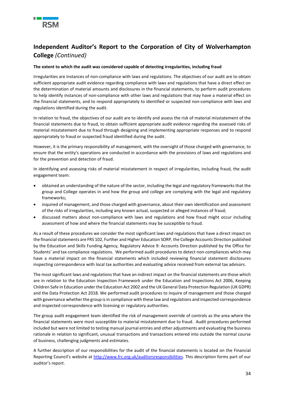

# **Independent Auditor's Report to the Corporation of City of Wolverhampton College** *(Continued)*

### **The extent to which the audit was considered capable of detecting irregularities, including fraud**

Irregularities are instances of non-compliance with laws and regulations. The objectives of our audit are to obtain sufficient appropriate audit evidence regarding compliance with laws and regulations that have a direct effect on the determination of material amounts and disclosures in the financial statements, to perform audit procedures to help identify instances of non-compliance with other laws and regulations that may have a material effect on the financial statements, and to respond appropriately to identified or suspected non-compliance with laws and regulations identified during the audit.

In relation to fraud, the objectives of our audit are to identify and assess the risk of material misstatement of the financial statements due to fraud, to obtain sufficient appropriate audit evidence regarding the assessed risks of material misstatement due to fraud through designing and implementing appropriate responses and to respond appropriately to fraud or suspected fraud identified during the audit.

However, it is the primary responsibility of management, with the oversight of those charged with governance, to ensure that the entity's operations are conducted in accordance with the provisions of laws and regulations and for the prevention and detection of fraud.

In identifying and assessing risks of material misstatement in respect of irregularities, including fraud, the audit engagement team:

- obtained an understanding of the nature of the sector, including the legal and regulatory frameworks that the group and College operates in and how the group and college are complying with the legal and regulatory frameworks;
- inquired of management, and those charged with governance, about their own identification and assessment of the risks of irregularities, including any known actual, suspected or alleged instances of fraud;
- discussed matters about non-compliance with laws and regulations and how fraud might occur including assessment of how and where the financial statements may be susceptible to fraud.

As a result of these procedures we consider the most significant laws and regulations that have a direct impact on the financial statements are FRS 102, Further and Higher Education SORP, the College Accounts Direction published by the Education and Skills Funding Agency, Regulatory Advice 9: Accounts Direction published by the Office for Students' and tax compliance regulations. We performed audit procedures to detect non-compliances which may have a material impact on the financial statements which included reviewing financial statement disclosures inspecting correspondence with local tax authorities and evaluating advice received from external tax advisors.

The most significant laws and regulations that have an indirect impact on the financial statements are those which are in relation to the Education Inspection Framework under the Education and Inspections Act 2006, Keeping Children Safe in Education under the Education Act 2002 and the UK General Data Protection Regulation (UK GDPR) and the Data Protection Act 2018. We performed audit procedures to inquire of management and those charged with governance whether the group is in compliance with these law and regulations and inspected correspondence and inspected correspondence with licensing or regulatory authorities.

The group audit engagement team identified the risk of management override of controls as the area where the financial statements were most susceptible to material misstatement due to fraud. Audit procedures performed included but were not limited to testing manual journal entries and other adjustments and evaluating the business rationale in relation to significant, unusual transactions and transactions entered into outside the normal course of business, challenging judgments and estimates.

A further description of our responsibilities for the audit of the financial statements is located on the Financial Reporting Council's website at [http://www.frc.org.uk/auditorsresponsibilities.](http://www.frc.org.uk/auditorsresponsibilities) This description forms part of our auditor's report.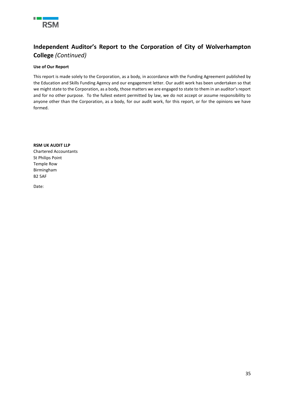

# **Independent Auditor's Report to the Corporation of City of Wolverhampton College** *(Continued)*

### **Use of Our Report**

This report is made solely to the Corporation, as a body, in accordance with the Funding Agreement published by the Education and Skills Funding Agency and our engagement letter. Our audit work has been undertaken so that we might state to the Corporation, as a body, those matters we are engaged to state to them in an auditor's report and for no other purpose. To the fullest extent permitted by law, we do not accept or assume responsibility to anyone other than the Corporation, as a body, for our audit work, for this report, or for the opinions we have formed.

**RSM UK AUDIT LLP** Chartered Accountants St Philips Point Temple Row Birmingham B2 5AF

Date: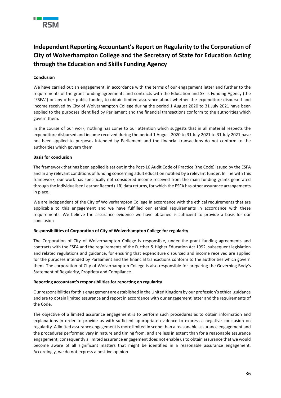

# <span id="page-35-0"></span>**Independent Reporting Accountant's Report on Regularity to the Corporation of City of Wolverhampton College and the Secretary of State for Education Acting through the Education and Skills Funding Agency**

### **Conclusion**

We have carried out an engagement, in accordance with the terms of our engagement letter and further to the requirements of the grant funding agreements and contracts with the Education and Skills Funding Agency (the "ESFA") or any other public funder, to obtain limited assurance about whether the expenditure disbursed and income received by City of Wolverhampton College during the period 1 August 2020 to 31 July 2021 have been applied to the purposes identified by Parliament and the financial transactions conform to the authorities which govern them.

In the course of our work, nothing has come to our attention which suggests that in all material respects the expenditure disbursed and income received during the period 1 August 2020 to 31 July 2021 to 31 July 2021 have not been applied to purposes intended by Parliament and the financial transactions do not conform to the authorities which govern them.

### **Basis for conclusion**

The framework that has been applied is set out in the Post-16 Audit Code of Practice (the Code) issued by the ESFA and in any relevant conditions of funding concerning adult education notified by a relevant funder. In line with this framework, our work has specifically not considered income received from the main funding grants generated through the Individualised Learner Record (ILR) data returns, for which the ESFA has other assurance arrangements in place.

We are independent of the City of Wolverhampton College in accordance with the ethical requirements that are applicable to this engagement and we have fulfilled our ethical requirements in accordance with these requirements. We believe the assurance evidence we have obtained is sufficient to provide a basis for our conclusion

### **Responsibilities of Corporation of City of Wolverhampton College for regularity**

The Corporation of City of Wolverhampton College is responsible, under the grant funding agreements and contracts with the ESFA and the requirements of the Further & Higher Education Act 1992, subsequent legislation and related regulations and guidance, for ensuring that expenditure disbursed and income received are applied for the purposes intended by Parliament and the financial transactions conform to the authorities which govern them. The corporation of City of Wolverhampton College is also responsible for preparing the Governing Body's Statement of Regularity, Propriety and Compliance.

### **Reporting accountant's responsibilities for reporting on regularity**

Our responsibilities for this engagement are established in the United Kingdom by our profession's ethical guidance and are to obtain limited assurance and report in accordance with our engagement letter and the requirements of the Code.

The objective of a limited assurance engagement is to perform such procedures as to obtain information and explanations in order to provide us with sufficient appropriate evidence to express a negative conclusion on regularity. A limited assurance engagement is more limited in scope than a reasonable assurance engagement and the procedures performed vary in nature and timing from, and are less in extent than for a reasonable assurance engagement; consequently a limited assurance engagement does not enable us to obtain assurance that we would become aware of all significant matters that might be identified in a reasonable assurance engagement. Accordingly, we do not express a positive opinion.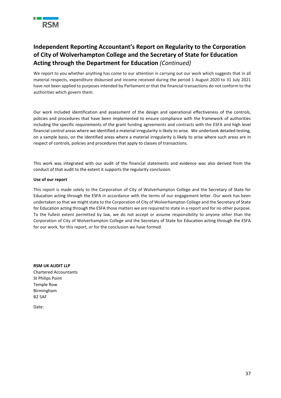

# **Independent Reporting Accountant's Report on Regularity to the Corporation of City of Wolverhampton College and the Secretary of State for Education Acting through the Department for Education** *(Continued)*

We report to you whether anything has come to our attention in carrying out our work which suggests that in all material respects, expenditure disbursed and income received during the period 1 August 2020 to 31 July 2021 have not been applied to purposes intended by Parliament or that the financial transactions do not conform to the authorities which govern them.

Our work included identification and assessment of the design and operational effectiveness of the controls, policies and procedures that have been implemented to ensure compliance with the framework of authorities including the specific requirements of the grant funding agreements and contracts with the ESFA and high level financial control areas where we identified a material irregularity is likely to arise. We undertook detailed testing, on a sample basis, on the identified areas where a material irregularity is likely to arise where such areas are in respect of controls, policies and procedures that apply to classes of transactions.

This work was integrated with our audit of the financial statements and evidence was also derived from the conduct of that audit to the extent it supports the regularity conclusion.

### **Use of our report**

This report is made solely to the Corporation of City of Wolverhampton College and the Secretary of State for Education acting through the ESFA in accordance with the terms of our engagement letter. Our work has been undertaken so that we might state to the Corporation of City of Wolverhampton College and the Secretary of State for Education acting through the ESFA those matters we are required to state in a report and for no other purpose. To the fullest extent permitted by law, we do not accept or assume responsibility to anyone other than the Corporation of City of Wolverhampton College and the Secretary of State for Education acting through the ESFA for our work, for this report, or for the conclusion we have formed.

**RSM UK AUDIT LLP** Chartered Accountants St Philips Point Temple Row Birmingham B2 5AF

Date: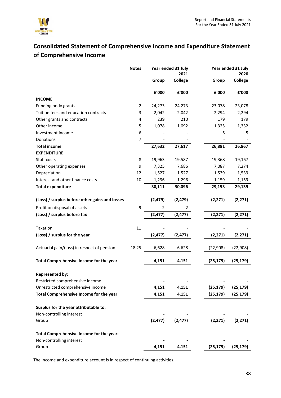

# <span id="page-37-0"></span>**Consolidated Statement of Comprehensive Income and Expenditure Statement of Comprehensive Income**

|                                                | <b>Notes</b> |                | Year ended 31 July<br>2021 |           | Year ended 31 July<br>2020 |
|------------------------------------------------|--------------|----------------|----------------------------|-----------|----------------------------|
|                                                |              | Group          | <b>College</b>             | Group     | <b>College</b>             |
|                                                |              |                |                            |           |                            |
|                                                |              | £'000          | f'000                      | £'000     | £'000                      |
| <b>INCOME</b>                                  |              |                |                            |           |                            |
| Funding body grants                            | 2            | 24,273         | 24,273                     | 23,078    | 23,078                     |
| Tuition fees and education contracts           | 3            | 2,042          | 2,042                      | 2,294     | 2,294                      |
| Other grants and contracts                     | 4            | 239            | 210                        | 179       | 179                        |
| Other income                                   | 5            | 1,078          | 1,092                      | 1,325     | 1,332                      |
| Investment income                              | 6            |                |                            | 5         | 5                          |
| Donations                                      | 7            |                |                            |           |                            |
| <b>Total income</b>                            |              | 27,632         | 27,617                     | 26,881    | 26,867                     |
| <b>EXPENDITURE</b>                             |              |                |                            |           |                            |
| Staff costs                                    | 8            | 19,963         | 19,587                     | 19,368    | 19,167                     |
| Other operating expenses                       | 9            | 7,325          | 7,686                      | 7,087     | 7,274                      |
| Depreciation                                   | 12           | 1,527          | 1,527                      | 1,539     | 1,539                      |
| Interest and other finance costs               | 10           | 1,296          | 1,296                      | 1,159     | 1,159                      |
| <b>Total expenditure</b>                       |              | 30,111         | 30,096                     | 29,153    | 29,139                     |
| (Loss) / surplus before other gains and losses |              | (2, 479)       | (2, 479)                   | (2, 271)  | (2, 271)                   |
| Profit on disposal of assets                   | 9            | $\overline{2}$ | 2                          |           |                            |
| (Loss) / surplus before tax                    |              | (2, 477)       | (2, 477)                   | (2, 271)  | (2, 271)                   |
| Taxation                                       | 11           |                |                            |           |                            |
| (Loss) / surplus for the year                  |              | (2, 477)       | (2, 477)                   | (2, 271)  | (2, 271)                   |
|                                                |              |                |                            |           |                            |
| Actuarial gain/(loss) in respect of pension    | 18 25        | 6,628          | 6,628                      | (22, 908) | (22, 908)                  |
| Total Comprehensive Income for the year        |              | 4,151          | 4,151                      | (25, 179) | (25, 179)                  |
| <b>Represented by:</b>                         |              |                |                            |           |                            |
| Restricted comprehensive income                |              |                |                            |           |                            |
| Unrestricted comprehensive income              |              | 4,151          | 4,151                      | (25, 179) | (25, 179)                  |
| Total Comprehensive Income for the year        |              | 4,151          | 4,151                      | (25, 179) | (25, 179)                  |
| Surplus for the year attributable to:          |              |                |                            |           |                            |
| Non-controlling interest                       |              |                |                            |           |                            |
| Group                                          |              | (2, 477)       | (2, 477)                   | (2, 271)  | (2, 271)                   |
| Total Comprehensive Income for the year:       |              |                |                            |           |                            |
| Non-controlling interest                       |              |                |                            |           |                            |
| Group                                          |              | 4,151          | 4,151                      | (25, 179) | (25, 179)                  |

The income and expenditure account is in respect of continuing activities.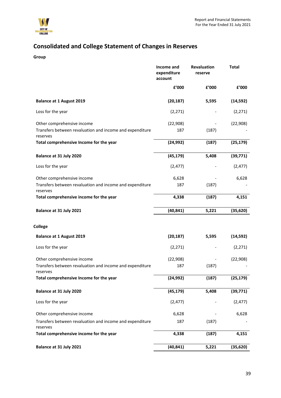

# <span id="page-38-0"></span>**Consolidated and College Statement of Changes in Reserves**

**Group**

|                                                                      | Income and<br>expenditure<br>account | Revaluation<br>reserve | <b>Total</b> |
|----------------------------------------------------------------------|--------------------------------------|------------------------|--------------|
|                                                                      | £'000                                | £'000                  | £'000        |
| <b>Balance at 1 August 2019</b>                                      | (20, 187)                            | 5,595                  | (14, 592)    |
| Loss for the year                                                    | (2, 271)                             |                        | (2, 271)     |
| Other comprehensive income                                           | (22, 908)                            |                        | (22, 908)    |
| Transfers between revaluation and income and expenditure<br>reserves | 187                                  | (187)                  |              |
| Total comprehensive Income for the year                              | (24, 992)                            | (187)                  | (25, 179)    |
| Balance at 31 July 2020                                              | (45, 179)                            | 5,408                  | (39, 771)    |
| Loss for the year                                                    | (2, 477)                             |                        | (2, 477)     |
| Other comprehensive income                                           | 6,628                                |                        | 6,628        |
| Transfers between revaluation and income and expenditure<br>reserves | 187                                  | (187)                  |              |
| Total comprehensive income for the year                              | 4,338                                | (187)                  | 4,151        |
| Balance at 31 July 2021                                              | (40, 841)                            | 5,221                  | (35, 620)    |
| <b>College</b>                                                       |                                      |                        |              |
| <b>Balance at 1 August 2019</b>                                      | (20, 187)                            | 5,595                  | (14, 592)    |
| Loss for the year                                                    | (2, 271)                             |                        | (2, 271)     |
| Other comprehensive income                                           | (22, 908)                            |                        | (22, 908)    |
| Transfers between revaluation and income and expenditure<br>reserves | 187                                  | (187)                  |              |
| Total comprehensive Income for the year                              | (24, 992)                            | (187)                  | (25, 179)    |
| Balance at 31 July 2020                                              | (45, 179)                            | 5,408                  | (39, 771)    |
| Loss for the year                                                    | (2, 477)                             |                        | (2, 477)     |
| Other comprehensive income                                           | 6,628                                |                        | 6,628        |
| Transfers between revaluation and income and expenditure<br>reserves | 187                                  | (187)                  |              |
| Total comprehensive income for the year                              | 4,338                                | (187)                  | 4,151        |
| Balance at 31 July 2021                                              | (40, 841)                            | 5,221                  | (35, 620)    |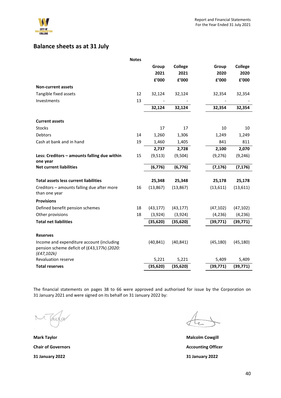

# <span id="page-39-0"></span>**Balance sheets as at 31 July**

|                                                                                                         | <b>Notes</b> |           |                |           |                |
|---------------------------------------------------------------------------------------------------------|--------------|-----------|----------------|-----------|----------------|
|                                                                                                         |              | Group     | <b>College</b> | Group     | <b>College</b> |
|                                                                                                         |              | 2021      | 2021           | 2020      | 2020           |
|                                                                                                         |              | £'000     | £'000          | £'000     | £'000          |
| <b>Non-current assets</b>                                                                               |              |           |                |           |                |
| Tangible fixed assets                                                                                   | 12           | 32,124    | 32,124         | 32,354    | 32,354         |
| Investments                                                                                             | 13           |           |                |           |                |
|                                                                                                         |              | 32,124    | 32,124         | 32,354    | 32,354         |
| <b>Current assets</b>                                                                                   |              |           |                |           |                |
| <b>Stocks</b>                                                                                           |              | 17        | 17             | 10        | 10             |
| Debtors                                                                                                 | 14           | 1,260     | 1,306          | 1,249     | 1,249          |
| Cash at bank and in hand                                                                                | 19           | 1,460     | 1,405          | 841       | 811            |
|                                                                                                         |              | 2,737     | 2,728          | 2,100     | 2,070          |
| Less: Creditors - amounts falling due within<br>one year                                                | 15           | (9, 513)  | (9,504)        | (9, 276)  | (9, 246)       |
| <b>Net current liabilities</b>                                                                          |              | (6, 776)  | (6, 776)       | (7, 176)  | (7, 176)       |
| <b>Total assets less current liabilities</b>                                                            |              | 25,348    | 25,348         | 25,178    | 25,178         |
| Creditors - amounts falling due after more<br>than one year                                             | 16           | (13, 867) | (13, 867)      | (13, 611) | (13, 611)      |
| <b>Provisions</b>                                                                                       |              |           |                |           |                |
| Defined benefit pension schemes                                                                         | 18           | (43, 177) | (43, 177)      | (47, 102) | (47, 102)      |
| Other provisions                                                                                        | 18           | (3,924)   | (3,924)        | (4, 236)  | (4, 236)       |
| <b>Total net liabilities</b>                                                                            |              | (35, 620) | (35, 620)      | (39, 771) | (39, 771)      |
| <b>Reserves</b>                                                                                         |              |           |                |           |                |
| Income and expenditure account (including<br>pension scheme deficit of (£43,177k) (2020:<br>(E47, 102k) |              | (40, 841) | (40, 841)      | (45, 180) | (45, 180)      |
| Revaluation reserve                                                                                     |              | 5,221     | 5,221          | 5,409     | 5,409          |
| <b>Total reserves</b>                                                                                   |              | (35, 620) | (35, 620)      | (39, 771) | (39, 771)      |

The financial statements on pages 38 to 66 were approved and authorised for issue by the Corporation on 31 January 2021 and were signed on its behalf on 31 January 2022 by:

aula

**Mark Taylor Malcolm Cowgill Chair of Governors Accounting Officer 31 January 2022 31 January 2022**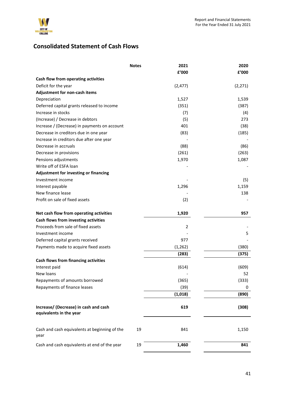

# <span id="page-40-0"></span>**Consolidated Statement of Cash Flows**

|                                                                  | <b>Notes</b> | 2021           | 2020     |
|------------------------------------------------------------------|--------------|----------------|----------|
|                                                                  |              | £'000          | £'000    |
| Cash flow from operating activities                              |              |                |          |
| Deficit for the year                                             |              | (2, 477)       | (2, 271) |
| Adjustment for non-cash items                                    |              |                |          |
| Depreciation                                                     |              | 1,527          | 1,539    |
| Deferred capital grants released to income                       |              | (351)          | (387)    |
| Increase in stocks                                               |              | (7)            | (4)      |
| (Increase) / Decrease in debtors                                 |              | (5)            | 273      |
| Increase / (Decrease) in payments on account                     |              | 401            | (38)     |
| Decrease in creditors due in one year                            |              | (83)           | (185)    |
| Increase in creditors due after one year                         |              |                |          |
| Decrease in accruals                                             |              | (88)           | (86)     |
| Decrease in provisions                                           |              | (261)          | (263)    |
| Pensions adjustments                                             |              | 1,970          | 1,087    |
| Write off of ESFA loan                                           |              |                |          |
| Adjustment for investing or financing                            |              |                |          |
| Investment income                                                |              |                | (5)      |
| Interest payable                                                 |              | 1,296          | 1,159    |
| New finance lease                                                |              |                | 138      |
| Profit on sale of fixed assets                                   |              | (2)            |          |
|                                                                  |              |                |          |
| Net cash flow from operating activities                          |              | 1,920          | 957      |
| Cash flows from investing activities                             |              |                |          |
| Proceeds from sale of fixed assets                               |              | $\overline{2}$ |          |
| Investment income                                                |              |                | 5        |
| Deferred capital grants received                                 |              | 977            |          |
| Payments made to acquire fixed assets                            |              | (1, 262)       | (380)    |
|                                                                  |              | (283)          | (375)    |
| Cash flows from financing activities                             |              |                |          |
| Interest paid                                                    |              | (614)          | (609)    |
| New loans                                                        |              |                | 52       |
| Repayments of amounts borrowed                                   |              | (365)          | (333)    |
| Repayments of finance leases                                     |              | (39)           | 0        |
|                                                                  |              | (1,018)        | (890)    |
| Increase/ (Decrease) in cash and cash<br>equivalents in the year |              | 619            | (308)    |
| Cash and cash equivalents at beginning of the<br>year            | 19           | 841            | 1,150    |
| Cash and cash equivalents at end of the year                     | 19           | 1,460          | 841      |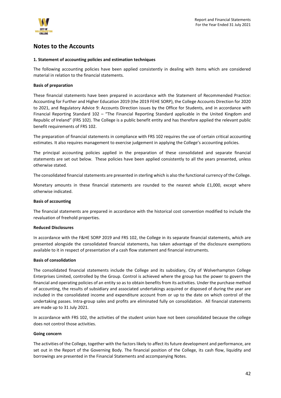

### <span id="page-41-0"></span>**Notes to the Accounts**

### **1. Statement of accounting policies and estimation techniques**

The following accounting policies have been applied consistently in dealing with items which are considered material in relation to the financial statements.

### **Basis of preparation**

These financial statements have been prepared in accordance with the Statement of Recommended Practice: Accounting for Further and Higher Education 2019 (the 2019 FEHE SORP), the College Accounts Direction for 2020 to 2021, and Regulatory Advice 9: Accounts Direction issues by the Office for Students, and in accordance with Financial Reporting Standard 102 – "The Financial Reporting Standard applicable in the United Kingdom and Republic of Ireland" (FRS 102). The College is a public benefit entity and has therefore applied the relevant public benefit requirements of FRS 102.

The preparation of financial statements in compliance with FRS 102 requires the use of certain critical accounting estimates. It also requires management to exercise judgement in applying the College's accounting policies.

The principal accounting policies applied in the preparation of these consolidated and separate financial statements are set out below. These policies have been applied consistently to all the years presented, unless otherwise stated.

The consolidated financial statements are presented in sterling which is also the functional currency of the College.

Monetary amounts in these financial statements are rounded to the nearest whole £1,000, except where otherwise indicated.

### **Basis of accounting**

The financial statements are prepared in accordance with the historical cost convention modified to include the revaluation of freehold properties.

### **Reduced Disclosures**

In accordance with the F&HE SORP 2019 and FRS 102, the College in its separate financial statements, which are presented alongside the consolidated financial statements, has taken advantage of the disclosure exemptions available to it in respect of presentation of a cash flow statement and financial instruments.

### **Basis of consolidation**

The consolidated financial statements include the College and its subsidiary, City of Wolverhampton College Enterprises Limited, controlled by the Group. Control is achieved where the group has the power to govern the financial and operating policies of an entity so as to obtain benefits from its activities. Under the purchase method of accounting, the results of subsidiary and associated undertakings acquired or disposed of during the year are included in the consolidated income and expenditure account from or up to the date on which control of the undertaking passes. Intra-group sales and profits are eliminated fully on consolidation. All financial statements are made up to 31 July 2021.

In accordance with FRS 102, the activities of the student union have not been consolidated because the college does not control those activities.

### **Going concern**

The activities of the College, together with the factors likely to affect its future development and performance, are set out in the Report of the Governing Body. The financial position of the College, its cash flow, liquidity and borrowings are presented in the Financial Statements and accompanying Notes.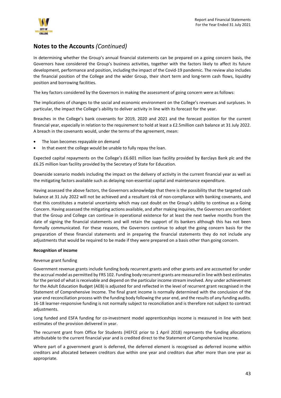

In determining whether the Group's annual financial statements can be prepared on a going concern basis, the Governors have considered the Group's business activities, together with the factors likely to affect its future development, performance and position, including the impact of the Covid-19 pandemic. The review also includes the financial position of the College and the wider Group, their short term and long-term cash flows, liquidity position and borrowing facilities.

The key factors considered by the Governors in making the assessment of going concern were as follows:

The implications of changes to the social and economic environment on the College's revenues and surpluses. In particular, the impact the College's ability to deliver activity in line with its forecast for the year.

Breaches in the College's bank covenants for 2019, 2020 and 2021 and the forecast position for the current financial year, especially in relation to the requirement to hold at least a £2.5million cash balance at 31 July 2022. A breach in the covenants would, under the terms of the agreement, mean:

- The loan becomes repayable on demand
- In that event the college would be unable to fully repay the loan.

Expected capital repayments on the College's £6.601 million loan facility provided by Barclays Bank plc and the £6.25 million loan facility provided by the Secretary of State for Education.

Downside scenario models including the impact on the delivery of activity in the current financial year as well as the mitigating factors available such as delaying non-essential capital and maintenance expenditure.

Having assessed the above factors, the Governors acknowledge that there is the possibility that the targeted cash balance at 31 July 2022 will not be achieved and a resultant risk of non-compliance with banking covenants, and that this constitutes a material uncertainty which may cast doubt on the Group's ability to continue as a Going Concern. Having assessed the mitigating actions available, and after making inquiries, the Governors are confident that the Group and College can continue in operational existence for at least the next twelve months from the date of signing the financial statements and will retain the support of its bankers although this has not been formally communicated. For these reasons, the Governors continue to adopt the going concern basis for the preparation of these financial statements and in preparing the financial statements they do not include any adjustments that would be required to be made if they were prepared on a basis other than going concern.

### **Recognition of income**

### Revenue grant funding

Government revenue grants include funding body recurrent grants and other grants and are accounted for under the accrual model as permitted by FRS 102. Funding body recurrent grants are measured in line with best estimates for the period of what is receivable and depend on the particular income stream involved. Any under achievement for the Adult Education Budget (AEB) is adjusted for and reflected in the level of recurrent grant recognised in the Statement of Comprehensive Income. The final grant income is normally determined with the conclusion of the year end reconciliation process with the funding body following the year end, and the results of any funding audits. 16-18 learner-responsive funding is not normally subject to reconciliation and is therefore not subject to contract adjustments.

Long funded and ESFA funding for co-investment model apprenticeships income is measured in line with best estimates of the provision delivered in year.

The recurrent grant from Office for Students (HEFCE prior to 1 April 2018) represents the funding allocations attributable to the current financial year and is credited direct to the Statement of Comprehensive Income.

Where part of a government grant is deferred, the deferred element is recognised as deferred income within creditors and allocated between creditors due within one year and creditors due after more than one year as appropriate.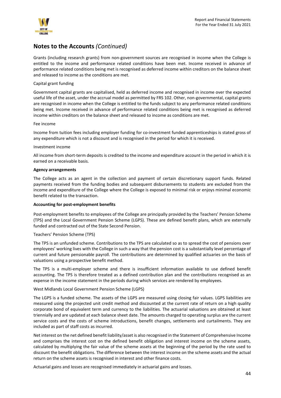

Grants (including research grants) from non-government sources are recognised in income when the College is entitled to the income and performance related conditions have been met. Income received in advance of performance related conditions being met is recognised as deferred income within creditors on the balance sheet and released to income as the conditions are met.

### Capital grant funding

Government capital grants are capitalised, held as deferred income and recognised in income over the expected useful life of the asset, under the accrual model as permitted by FRS 102. Other, non-governmental, capital grants are recognised in income when the College is entitled to the funds subject to any performance related conditions being met. Income received in advance of performance related conditions being met is recognised as deferred income within creditors on the balance sheet and released to income as conditions are met.

### Fee income

Income from tuition fees including employer funding for co-investment funded apprenticeships is stated gross of any expenditure which is not a discount and is recognised in the period for which it is received.

### Investment income

All income from short-term deposits is credited to the income and expenditure account in the period in which it is earned on a receivable basis.

### **Agency arrangements**

The College acts as an agent in the collection and payment of certain discretionary support funds. Related payments received from the funding bodies and subsequent disbursements to students are excluded from the income and expenditure of the College where the College is exposed to minimal risk or enjoys minimal economic benefit related to the transaction.

### **Accounting for post-employment benefits**

Post-employment benefits to employees of the College are principally provided by the Teachers' Pension Scheme (TPS) and the Local Government Pension Scheme (LGPS). These are defined benefit plans, which are externally funded and contracted out of the State Second Pension.

### Teachers' Pension Scheme (TPS)

The TPS is an unfunded scheme. Contributions to the TPS are calculated so as to spread the cost of pensions over employees' working lives with the College in such a way that the pension cost is a substantially level percentage of current and future pensionable payroll. The contributions are determined by qualified actuaries on the basis of valuations using a prospective benefit method.

The TPS is a multi-employer scheme and there is insufficient information available to use defined benefit accounting. The TPS is therefore treated as a defined contribution plan and the contributions recognised as an expense in the income statement in the periods during which services are rendered by employees.

### West Midlands Local Government Pension Scheme (LGPS)

The LGPS is a funded scheme. The assets of the LGPS are measured using closing fair values. LGPS liabilities are measured using the projected unit credit method and discounted at the current rate of return on a high quality corporate bond of equivalent term and currency to the liabilities. The actuarial valuations are obtained at least triennially and are updated at each balance sheet date. The amounts charged to operating surplus are the current service costs and the costs of scheme introductions, benefit changes, settlements and curtailments. They are included as part of staff costs as incurred.

Net interest on the net defined benefit liability/asset is also recognised in the Statement of Comprehensive Income and comprises the interest cost on the defined benefit obligation and interest income on the scheme assets, calculated by multiplying the fair value of the scheme assets at the beginning of the period by the rate used to discount the benefit obligations. The difference between the interest income on the scheme assets and the actual return on the scheme assets is recognised in interest and other finance costs.

Actuarial gains and losses are recognised immediately in actuarial gains and losses.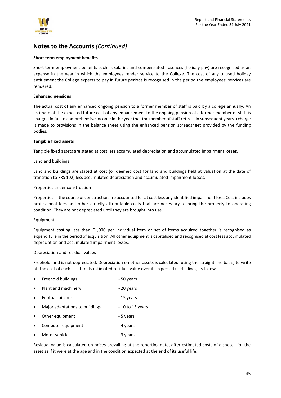

### **Short term employment benefits**

Short term employment benefits such as salaries and compensated absences (holiday pay) are recognised as an expense in the year in which the employees render service to the College. The cost of any unused holiday entitlement the College expects to pay in future periods is recognised in the period the employees' services are rendered.

### **Enhanced pensions**

The actual cost of any enhanced ongoing pension to a former member of staff is paid by a college annually. An estimate of the expected future cost of any enhancement to the ongoing pension of a former member of staff is charged in full to comprehensive income in the year that the member of staff retires. In subsequent years a charge is made to provisions in the balance sheet using the enhanced pension spreadsheet provided by the funding bodies.

### **Tangible fixed assets**

Tangible fixed assets are stated at cost less accumulated depreciation and accumulated impairment losses.

### Land and buildings

Land and buildings are stated at cost (or deemed cost for land and buildings held at valuation at the date of transition to FRS 102) less accumulated depreciation and accumulated impairment losses.

### Properties under construction

Properties in the course of construction are accounted for at cost less any identified impairment loss. Cost includes professional fees and other directly attributable costs that are necessary to bring the property to operating condition. They are not depreciated until they are brought into use.

### Equipment

Equipment costing less than £1,000 per individual item or set of items acquired together is recognised as expenditure in the period of acquisition. All other equipment is capitalised and recognised at cost less accumulated depreciation and accumulated impairment losses.

### Depreciation and residual values

Freehold land is not depreciated. Depreciation on other assets is calculated, using the straight line basis, to write off the cost of each asset to its estimated residual value over its expected useful lives, as follows:

- Freehold buildings 50 years
- Plant and machinery **Example 20 years**
- Football pitches 15 years
- Major adaptations to buildings 10 to 15 years
- Other equipment 5 years
- Computer equipment 4 years
- Motor vehicles 3 years

Residual value is calculated on prices prevailing at the reporting date, after estimated costs of disposal, for the asset as if it were at the age and in the condition expected at the end of its useful life.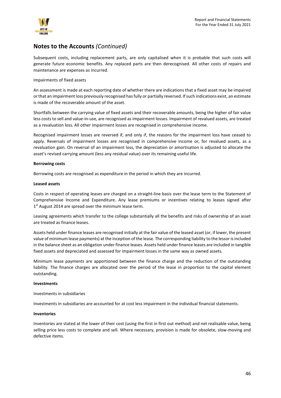

Subsequent costs, including replacement parts, are only capitalised when it is probable that such costs will generate future economic benefits. Any replaced parts are then derecognised. All other costs of repairs and maintenance are expenses as incurred.

### Impairments of fixed assets

An assessment is made at each reporting date of whether there are indications that a fixed asset may be impaired or that an impairment loss previously recognised has fully or partially reversed. If such indications exist, an estimate is made of the recoverable amount of the asset.

Shortfalls between the carrying value of fixed assets and their recoverable amounts, being the higher of fair value less costs to sell and value-in-use, are recognised as impairment losses. Impairment of revalued assets, are treated as a revaluation loss. All other impairment losses are recognised in comprehensive income.

Recognised impairment losses are reversed if, and only if, the reasons for the impairment loss have ceased to apply. Reversals of impairment losses are recognised in comprehensive income or, for revalued assets, as a revaluation gain. On reversal of an impairment loss, the depreciation or amortisation is adjusted to allocate the asset's revised carrying amount (less any residual value) over its remaining useful life.

### **Borrowing costs**

Borrowing costs are recognised as expenditure in the period in which they are incurred.

### **Leased assets**

Costs in respect of operating leases are charged on a straight-line basis over the lease term to the Statement of Comprehensive Income and Expenditure. Any lease premiums or incentives relating to leases signed after 1<sup>st</sup> August 2014 are spread over the minimum lease term.

Leasing agreements which transfer to the college substantially all the benefits and risks of ownership of an asset are treated as finance leases.

Assets held under finance leases are recognised initially at the fair value of the leased asset (or, if lower, the present value of minimum lease payments) at the inception of the lease. The corresponding liability to the lessor is included in the balance sheet as an obligation under finance leases. Assets held under finance leases are included in tangible fixed assets and depreciated and assessed for impairment losses in the same way as owned assets.

Minimum lease payments are apportioned between the finance charge and the reduction of the outstanding liability. The finance charges are allocated over the period of the lease in proportion to the capital element outstanding.

### **Investments**

Investments in subsidiaries

Investments in subsidiaries are accounted for at cost less impairment in the individual financial statements.

### **Inventories**

Inventories are stated at the lower of their cost (using the first in first out method) and net realisable value, being selling price less costs to complete and sell. Where necessary, provision is made for obsolete, slow-moving and defective items.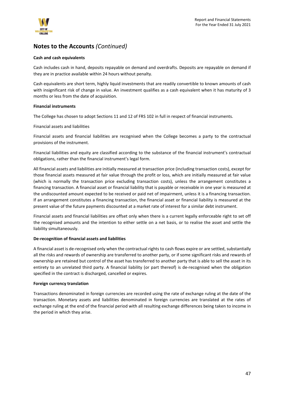

### **Cash and cash equivalents**

Cash includes cash in hand, deposits repayable on demand and overdrafts. Deposits are repayable on demand if they are in practice available within 24 hours without penalty.

Cash equivalents are short term, highly liquid investments that are readily convertible to known amounts of cash with insignificant risk of change in value. An investment qualifies as a cash equivalent when it has maturity of 3 months or less from the date of acquisition.

### **Financial instruments**

The College has chosen to adopt Sections 11 and 12 of FRS 102 in full in respect of financial instruments.

Financial assets and liabilities

Financial assets and financial liabilities are recognised when the College becomes a party to the contractual provisions of the instrument.

Financial liabilities and equity are classified according to the substance of the financial instrument's contractual obligations, rather than the financial instrument's legal form.

All financial assets and liabilities are initially measured at transaction price (including transaction costs), except for those financial assets measured at fair value through the profit or loss, which are initially measured at fair value (which is normally the transaction price excluding transaction costs), unless the arrangement constitutes a financing transaction. A financial asset or financial liability that is payable or receivable in one year is measured at the undiscounted amount expected to be received or paid net of impairment, unless it is a financing transaction. If an arrangement constitutes a financing transaction, the financial asset or financial liability is measured at the present value of the future payments discounted at a market rate of interest for a similar debt instrument.

Financial assets and financial liabilities are offset only when there is a current legally enforceable right to set off the recognised amounts and the intention to either settle on a net basis, or to realise the asset and settle the liability simultaneously.

### **De-recognition of financial assets and liabilities**

A financial asset is de-recognised only when the contractual rights to cash flows expire or are settled, substantially all the risks and rewards of ownership are transferred to another party, or if some significant risks and rewards of ownership are retained but control of the asset has transferred to another party that is able to sell the asset in its entirety to an unrelated third party. A financial liability (or part thereof) is de-recognised when the obligation specified in the contract is discharged, cancelled or expires.

### **Foreign currency translation**

Transactions denominated in foreign currencies are recorded using the rate of exchange ruling at the date of the transaction. Monetary assets and liabilities denominated in foreign currencies are translated at the rates of exchange ruling at the end of the financial period with all resulting exchange differences being taken to income in the period in which they arise.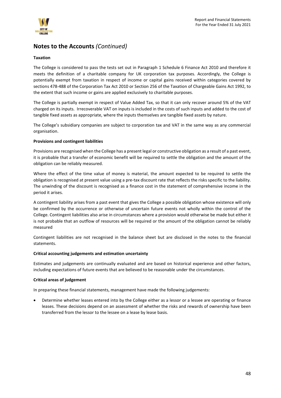

### **Taxation**

The College is considered to pass the tests set out in Paragraph 1 Schedule 6 Finance Act 2010 and therefore it meets the definition of a charitable company for UK corporation tax purposes. Accordingly, the College is potentially exempt from taxation in respect of income or capital gains received within categories covered by sections 478-488 of the Corporation Tax Act 2010 or Section 256 of the Taxation of Chargeable Gains Act 1992, to the extent that such income or gains are applied exclusively to charitable purposes.

The College is partially exempt in respect of Value Added Tax, so that it can only recover around 5% of the VAT charged on its inputs. Irrecoverable VAT on inputs is included in the costs of such inputs and added to the cost of tangible fixed assets as appropriate, where the inputs themselves are tangible fixed assets by nature.

The College's subsidiary companies are subject to corporation tax and VAT in the same way as any commercial organisation.

### **Provisions and contingent liabilities**

Provisions are recognised when the College has a present legal or constructive obligation as a result of a past event, it is probable that a transfer of economic benefit will be required to settle the obligation and the amount of the obligation can be reliably measured.

Where the effect of the time value of money is material, the amount expected to be required to settle the obligation is recognised at present value using a pre-tax discount rate that reflects the risks specific to the liability. The unwinding of the discount is recognised as a finance cost in the statement of comprehensive income in the period it arises.

A contingent liability arises from a past event that gives the College a possible obligation whose existence will only be confirmed by the occurrence or otherwise of uncertain future events not wholly within the control of the College. Contingent liabilities also arise in circumstances where a provision would otherwise be made but either it is not probable that an outflow of resources will be required or the amount of the obligation cannot be reliably measured

Contingent liabilities are not recognised in the balance sheet but are disclosed in the notes to the financial statements.

### **Critical accounting judgements and estimation uncertainty**

Estimates and judgements are continually evaluated and are based on historical experience and other factors, including expectations of future events that are believed to be reasonable under the circumstances.

### **Critical areas of judgement**

In preparing these financial statements, management have made the following judgements:

• Determine whether leases entered into by the College either as a lessor or a lessee are operating or finance leases. These decisions depend on an assessment of whether the risks and rewards of ownership have been transferred from the lessor to the lessee on a lease by lease basis.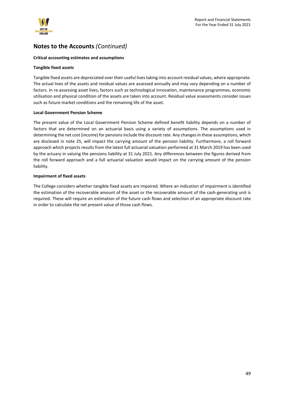

### **Critical accounting estimates and assumptions**

### **Tangible fixed assets**

Tangible fixed assets are depreciated over their useful lives taking into account residual values, where appropriate. The actual lives of the assets and residual values are assessed annually and may vary depending on a number of factors. In re-assessing asset lives, factors such as technological innovation, maintenance programmes, economic utilisation and physical condition of the assets are taken into account. Residual value assessments consider issues such as future market conditions and the remaining life of the asset.

### **Local Government Pension Scheme**

The present value of the Local Government Pension Scheme defined benefit liability depends on a number of factors that are determined on an actuarial basis using a variety of assumptions. The assumptions used in determining the net cost (income) for pensions include the discount rate. Any changes in these assumptions, which are disclosed in note 25, will impact the carrying amount of the pension liability. Furthermore, a roll forward approach which projects results from the latest full actuarial valuation performed at 31 March 2019 has been used by the actuary in valuing the pensions liability at 31 July 2021. Any differences between the figures derived from the roll forward approach and a full actuarial valuation would impact on the carrying amount of the pension liability.

### **Impairment of fixed assets**

The College considers whether tangible fixed assets are impaired. Where an indication of impairment is identified the estimation of the recoverable amount of the asset or the recoverable amount of the cash-generating unit is required. These will require an estimation of the future cash flows and selection of an appropriate discount rate in order to calculate the net present value of those cash flows.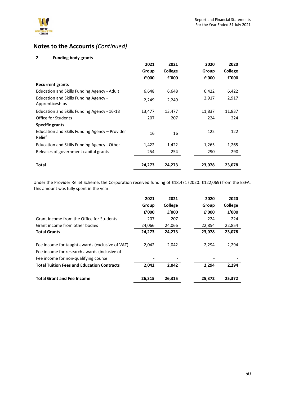

### **2 Funding body grants**

|                                                          | 2021   | 2021           | 2020   | 2020    |
|----------------------------------------------------------|--------|----------------|--------|---------|
|                                                          | Group  | <b>College</b> | Group  | College |
|                                                          | f'000  | £'000          | £'000  | f'000   |
| <b>Recurrent grants</b>                                  |        |                |        |         |
| Education and Skills Funding Agency - Adult              | 6,648  | 6,648          | 6,422  | 6,422   |
| Education and Skills Funding Agency -<br>Apprenticeships | 2,249  | 2,249          | 2,917  | 2,917   |
| Education and Skills Funding Agency - 16-18              | 13,477 | 13,477         | 11,837 | 11,837  |
| Office for Students                                      | 207    | 207            | 224    | 224     |
| <b>Specific grants</b>                                   |        |                |        |         |
| Education and Skills Funding Agency - Provider<br>Relief | 16     | 16             | 122    | 122     |
| Education and Skills Funding Agency - Other              | 1,422  | 1,422          | 1,265  | 1,265   |
| Releases of government capital grants                    | 254    | 254            | 290    | 290     |
| Total                                                    | 24,273 | 24,273         | 23,078 | 23,078  |

Under the Provider Relief Scheme, the Corporation received funding of £18,471 (2020: £122,069) from the ESFA. This amount was fully spent in the year.

|                                                   | 2021<br>Group<br>f'000 | 2021<br>College<br>f'000 | 2020<br>Group<br>f'000 | 2020<br>College<br>f'000 |
|---------------------------------------------------|------------------------|--------------------------|------------------------|--------------------------|
| Grant income from the Office for Students         | 207                    | 207                      | 224                    | 224                      |
| Grant income from other bodies                    | 24,066                 | 24,066                   | 22,854                 | 22,854                   |
| <b>Total Grants</b>                               | 24,273                 | 24,273                   | 23,078                 | 23,078                   |
| Fee income for taught awards (exclusive of VAT)   | 2,042                  | 2.042                    | 2,294                  | 2,294                    |
| Fee income for research awards (inclusive of      |                        |                          |                        |                          |
| Fee income for non-qualifying course              |                        |                          |                        |                          |
| <b>Total Tuition Fees and Education Contracts</b> | 2,042                  | 2,042                    | 2,294                  | 2,294                    |
| <b>Total Grant and Fee Income</b>                 | 26,315                 | 26,315                   | 25,372                 | 25,372                   |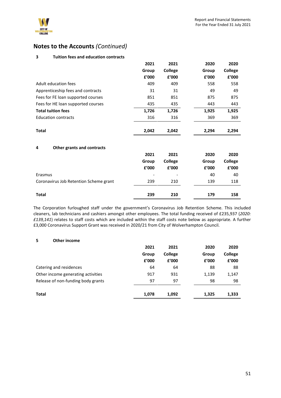### **3 Tuition fees and education contracts**

|                                        | 2021  | 2021           | 2020  | 2020    |
|----------------------------------------|-------|----------------|-------|---------|
|                                        | Group | <b>College</b> | Group | College |
|                                        | £'000 | £'000          | £'000 | £'000   |
| Adult education fees                   | 409   | 409            | 558   | 558     |
| Apprenticeship fees and contracts      | 31    | 31             | 49    | 49      |
| Fees for FE loan supported courses     | 851   | 851            | 875   | 875     |
| Fees for HE loan supported courses     | 435   | 435            | 443   | 443     |
| <b>Total tuition fees</b>              | 1,726 | 1,726          | 1,925 | 1,925   |
| <b>Education contracts</b>             | 316   | 316            | 369   | 369     |
| <b>Total</b>                           | 2,042 | 2,042          | 2,294 | 2,294   |
| Other grants and contracts<br>4        |       |                |       |         |
|                                        | 2021  | 2021           | 2020  | 2020    |
|                                        | Group | College        | Group | College |
|                                        | £'000 | £'000          | £'000 | £'000   |
| Erasmus                                |       |                | 40    | 40      |
| Coronavirus Job Retention Scheme grant | 239   | 210            | 139   | 118     |
| <b>Total</b>                           | 239   | 210            | 179   | 158     |

The Corporation furloughed staff under the government's Coronavirus Job Retention Scheme. This included cleaners, lab technicians and cashiers amongst other employees. The total funding received of £235,937 (*2020: £139,141*) relates to staff costs which are included within the staff costs note below as appropriate. A further £3,000 Coronavirus Support Grant was received in 2020/21 from City of Wolverhampton Council.

### **5 Other income**

|                                    | 2021  | 2021           | 2020  | 2020    |
|------------------------------------|-------|----------------|-------|---------|
|                                    | Group | <b>College</b> | Group | College |
|                                    | £'000 | f'000          | £'000 | £'000   |
| Catering and residences            | 64    | 64             | 88    | 88      |
| Other income generating activities | 917   | 931            | 1,139 | 1,147   |
| Release of non-funding body grants | 97    | 97             | 98    | 98      |
| Total                              | 1,078 | 1,092          | 1,325 | 1,333   |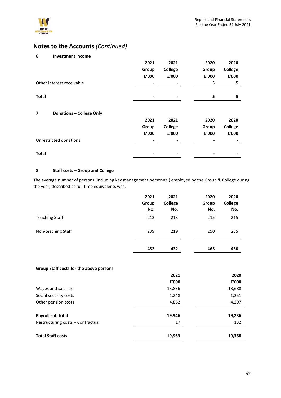

| 6<br><b>Investment income</b>                               |       |         |       |         |
|-------------------------------------------------------------|-------|---------|-------|---------|
|                                                             | 2021  | 2021    | 2020  | 2020    |
|                                                             | Group | College | Group | College |
|                                                             | £'000 | £'000   | £'000 | £'000   |
| Other interest receivable                                   |       |         | 5     | 5       |
|                                                             |       |         |       |         |
| <b>Total</b>                                                |       |         | 5     | 5       |
|                                                             |       |         |       |         |
| <b>Donations - College Only</b><br>$\overline{\phantom{a}}$ |       |         |       |         |
|                                                             | 2021  | 2021    | 2020  | 2020    |
|                                                             | Group | College | Group | College |
|                                                             | £'000 | £'000   | £'000 | £'000   |
| Unrestricted donations                                      |       |         |       |         |
|                                                             |       |         |       |         |
| Total                                                       |       |         |       |         |

### **8 Staff costs – Group and College**

The average number of persons (including key management personnel) employed by the Group & College during the year, described as full-time equivalents was:

|                       | 2021<br>Group<br>No. | 2021<br>College<br>No. | 2020<br>Group<br>No. | 2020<br>College<br>No. |
|-----------------------|----------------------|------------------------|----------------------|------------------------|
| <b>Teaching Staff</b> | 213                  | 213                    | 215                  | 215                    |
| Non-teaching Staff    | 239                  | 219                    | 250                  | 235                    |
|                       | 452                  | 432                    | 465                  | 450                    |

### **Group Staff costs for the above persons**

| 2021   | 2020   |
|--------|--------|
| £'000  | £'000  |
| 13,836 | 13,688 |
| 1,248  | 1,251  |
| 4,862  | 4,297  |
| 19,946 | 19,236 |
| 17     | 132    |
| 19,963 | 19,368 |
|        |        |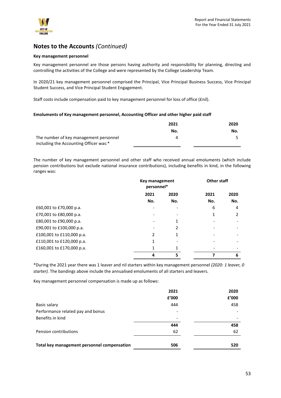

### **Key management personnel**

Key management personnel are those persons having authority and responsibility for planning, directing and controlling the activities of the College and were represented by the College Leadership Team.

In 2020/21 key management personnel comprised the Principal, Vice Principal Business Success, Vice Principal Student Success, and Vice Principal Student Engagement.

Staff costs include compensation paid to key management personnel for loss of office (£nil).

### **Emoluments of Key management personnel, Accounting Officer and other higher paid staff**

|                                        | 2021 | 2020 |
|----------------------------------------|------|------|
|                                        | No.  | No.  |
| The number of key management personnel |      |      |
| including the Accounting Officer was:* |      |      |

The number of key management personnel and other staff who received annual emoluments (which include pension contributions but exclude national insurance contributions), including benefits in kind, in the following ranges was:

|                           | Key management<br>personnel* |      | <b>Other staff</b> |      |
|---------------------------|------------------------------|------|--------------------|------|
|                           | 2021                         | 2020 | 2021               | 2020 |
|                           | No.                          | No.  | No.                | No.  |
| £60,001 to £70,000 p.a.   |                              |      | 6                  | 4    |
| £70,001 to £80,000 p.a.   |                              |      | 1                  | 2    |
| £80,001 to £90,000 p.a.   |                              |      |                    |      |
| £90,001 to £100,000 p.a.  |                              | 2    |                    |      |
| £100,001 to £110,000 p.a. | 2                            |      |                    |      |
| £110,001 to £120,000 p.a. | 1                            |      |                    |      |
| £160,001 to £170,000 p.a. |                              | 1    |                    |      |
|                           | 4                            | 5    |                    | 6    |

\*During the 2021 year there was 1 leaver and nil starters within key management personnel *(2020: 1 leaver, 0 starter).* The bandings above include the annualised emoluments of all starters and leavers.

Key management personnel compensation is made up as follows:

|                                             | 2021  | 2020  |
|---------------------------------------------|-------|-------|
|                                             | £'000 | £'000 |
| Basic salary                                | 444   | 458   |
| Performance related pay and bonus           |       |       |
| Benefits in kind                            | ۰     |       |
|                                             | 444   | 458   |
| Pension contributions                       | 62    | 62    |
| Total key management personnel compensation | 506   | 520   |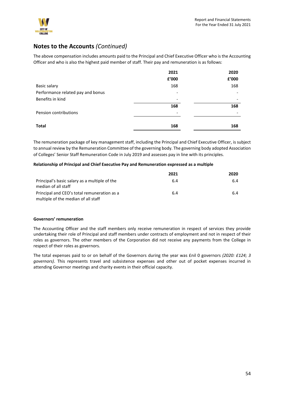

The above compensation includes amounts paid to the Principal and Chief Executive Officer who is the Accounting Officer and who is also the highest paid member of staff. Their pay and remuneration is as follows:

|                                   | 2021                     | 2020                     |
|-----------------------------------|--------------------------|--------------------------|
|                                   | £'000                    | £'000                    |
| Basic salary                      | 168                      | 168                      |
| Performance related pay and bonus |                          |                          |
| Benefits in kind                  | $\overline{\phantom{a}}$ |                          |
|                                   | 168                      | 168                      |
| Pension contributions             | $\overline{\phantom{a}}$ | $\overline{\phantom{a}}$ |
| <b>Total</b>                      | 168                      | 168                      |

The remuneration package of key management staff, including the Principal and Chief Executive Officer, is subject to annual review by the Remuneration Committee of the governing body. The governing body adopted Association of Colleges' Senior Staff Remuneration Code in July 2019 and assesses pay in line with its principles.

### **Relationship of Principal and Chief Executive Pay and Remuneration expressed as a multiple**

|                                               | 2021 | 2020 |
|-----------------------------------------------|------|------|
| Principal's basic salary as a multiple of the | 6.4  | 6.4  |
| median of all staff                           |      |      |
| Principal and CEO's total remuneration as a   | 6.4  | 6.4  |
| multiple of the median of all staff           |      |      |

### **Governors' remuneration**

The Accounting Officer and the staff members only receive remuneration in respect of services they provide undertaking their role of Principal and staff members under contracts of employment and not in respect of their roles as governors. The other members of the Corporation did not receive any payments from the College in respect of their roles as governors.

The total expenses paid to or on behalf of the Governors during the year was £nil 0 governors *(2020: £124; 3 governors)*. This represents travel and subsistence expenses and other out of pocket expenses incurred in attending Governor meetings and charity events in their official capacity.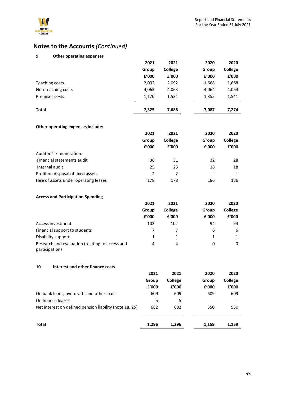

### **9 Other operating expenses**

|                    | 2021  | 2021           | 2020  | 2020           |
|--------------------|-------|----------------|-------|----------------|
|                    | Group | <b>College</b> | Group | <b>College</b> |
|                    | £'000 | £'000          | £'000 | f'000          |
| Teaching costs     | 2,092 | 2,092          | 1,668 | 1,668          |
| Non-teaching costs | 4,063 | 4,063          | 4,064 | 4,064          |
| Premises costs     | 1,170 | 1,531          | 1,355 | 1,541          |
| <b>Total</b>       | 7.325 | 7,686          | 7.087 | 7.274          |

### **Other operating expenses include:**

|                                       | 2021<br>Group<br>£'000 |         | 2021                         | 2020    | 2020 |
|---------------------------------------|------------------------|---------|------------------------------|---------|------|
|                                       |                        | College | Group                        | College |      |
|                                       |                        | £'000   | f'000                        | £'000   |      |
| Auditors' remuneration:               |                        |         |                              |         |      |
| Financial statements audit            | 36                     | 31      | 32                           | 28      |      |
| Internal audit                        | 25                     | 25      | 18                           | 18      |      |
| Profit on disposal of fixed assets    | $\mathcal{P}$          | 2       | $\qquad \qquad \blacksquare$ |         |      |
| Hire of assets under operating leases | 178                    | 178     | 186                          | 186     |      |

### **Access and Participation Spending**

|                                                                   | 2021<br>Group |                |       | 2021           | 2020 | 2020 |
|-------------------------------------------------------------------|---------------|----------------|-------|----------------|------|------|
|                                                                   |               | <b>College</b> | Group | <b>College</b> |      |      |
|                                                                   | £'000         | £'000          | £'000 | £'000          |      |      |
| Access investment                                                 | 102           | 102            | 94    | 94             |      |      |
| Financial support to students                                     |               |                | 6     | 6              |      |      |
| Disability support                                                |               |                |       | $\mathbf{1}$   |      |      |
| Research and evaluation (relating to access and<br>participation) | 4             | 4              | 0     | 0              |      |      |

### **10 Interest and other finance costs**

|                                                         | 2021  | 2021           | 2020  | 2020    |
|---------------------------------------------------------|-------|----------------|-------|---------|
|                                                         | Group | <b>College</b> | Group | College |
|                                                         | £'000 | f'000          | £'000 | £'000   |
| On bank loans, overdrafts and other loans               | 609   | 609            | 609   | 609     |
| On finance leases                                       | 5     | 5              |       |         |
| Net interest on defined pension liability (note 18, 25) | 682   | 682            | 550   | 550     |
| Total                                                   | 1,296 | 1,296          | 1,159 | 1,159   |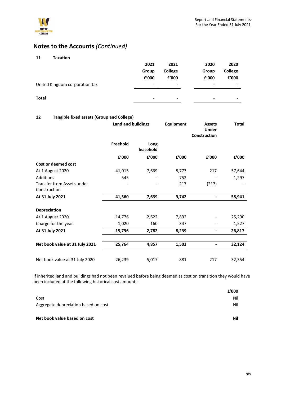

| 11<br>Taxation                 |       |                          |       |                          |
|--------------------------------|-------|--------------------------|-------|--------------------------|
|                                | 2021  | 2021                     | 2020  | 2020                     |
|                                | Group | College                  | Group | College                  |
|                                | £'000 | £'000                    | £'000 | £'000                    |
| United Kingdom corporation tax | -     | $\overline{\phantom{a}}$ | -     | $\overline{\phantom{a}}$ |
| <b>Total</b>                   | -     | $\,$                     | -     | $\,$                     |

### **12 Tangible fixed assets (Group and College)**

|                                            | <b>Land and buildings</b> |                   | <b>Equipment</b> | <b>Assets</b><br><b>Under</b><br>Construction | <b>Total</b> |
|--------------------------------------------|---------------------------|-------------------|------------------|-----------------------------------------------|--------------|
|                                            | Freehold                  | Long<br>leasehold |                  |                                               |              |
|                                            | £'000                     | £'000             | £'000            | £'000                                         | £'000        |
| Cost or deemed cost                        |                           |                   |                  |                                               |              |
| At 1 August 2020                           | 41,015                    | 7,639             | 8,773            | 217                                           | 57,644       |
| Additions                                  | 545                       |                   | 752              |                                               | 1,297        |
| Transfer from Assets under<br>Construction |                           |                   | 217              | (217)                                         |              |
| At 31 July 2021                            | 41,560                    | 7,639             | 9,742            |                                               | 58,941       |
| <b>Depreciation</b>                        |                           |                   |                  |                                               |              |
| At 1 August 2020                           | 14,776                    | 2,622             | 7,892            |                                               | 25,290       |
| Charge for the year                        | 1,020                     | 160               | 347              |                                               | 1,527        |
| At 31 July 2021                            | 15,796                    | 2,782             | 8,239            | -                                             | 26,817       |
| Net book value at 31 July 2021             | 25,764                    | 4,857             | 1,503            |                                               | 32,124       |
| Net book value at 31 July 2020             | 26,239                    | 5,017             | 881              | 217                                           | 32,354       |

If inherited land and buildings had not been revalued before being deemed as cost on transition they would have been included at the following historical cost amounts:

| f'000 |
|-------|
| Nil   |
| Nil   |
| Nil   |
|       |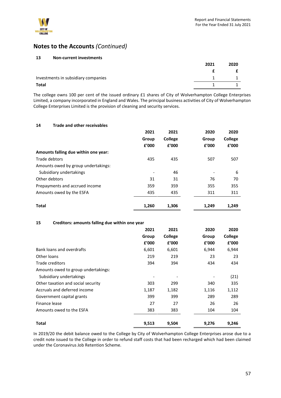

| 13<br><b>Non-current investments</b> |      |      |
|--------------------------------------|------|------|
|                                      | 2021 | 2020 |
|                                      |      |      |
| Investments in subsidiary companies  |      |      |
| <b>Total</b>                         |      |      |

The college owns 100 per cent of the issued ordinary £1 shares of City of Wolverhampton College Enterprises Limited, a company incorporated in England and Wales. The principal business activities of City of Wolverhampton College Enterprises Limited is the provision of cleaning and security services.

### **14 Trade and other receivables**

|                                      | 2021<br>Group | 2021<br><b>College</b> | 2020<br>Group | 2020<br>College |
|--------------------------------------|---------------|------------------------|---------------|-----------------|
|                                      | £'000         | £'000                  | £'000         | £'000           |
| Amounts falling due within one year: |               |                        |               |                 |
| Trade debtors                        | 435           | 435                    | 507           | 507             |
| Amounts owed by group undertakings:  |               |                        |               |                 |
| Subsidiary undertakings              |               | 46                     |               | 6               |
| Other debtors                        | 31            | 31                     | 76            | 70              |
| Prepayments and accrued income       | 359           | 359                    | 355           | 355             |
| Amounts owed by the ESFA             | 435           | 435                    | 311           | 311             |
| Total                                | 1,260         | 1.306                  | 1,249         | 1.249           |

### **15 Creditors: amounts falling due within one year**

|                                     | 2021  | 2021    | 2020  | 2020    |
|-------------------------------------|-------|---------|-------|---------|
|                                     | Group | College | Group | College |
|                                     | f'000 | £'000   | £'000 | f'000   |
| Bank loans and overdrafts           | 6,601 | 6,601   | 6,944 | 6,944   |
| Other loans                         | 219   | 219     | 23    | 23      |
| Trade creditors                     | 394   | 394     | 434   | 434     |
| Amounts owed to group undertakings: |       |         |       |         |
| Subsidiary undertakings             |       |         |       | (21)    |
| Other taxation and social security  | 303   | 299     | 340   | 335     |
| Accruals and deferred income        | 1,187 | 1,182   | 1,116 | 1,112   |
| Government capital grants           | 399   | 399     | 289   | 289     |
| Finance lease                       | 27    | 27      | 26    | 26      |
| Amounts owed to the ESFA            | 383   | 383     | 104   | 104     |
| Total                               | 9,513 | 9,504   | 9,276 | 9,246   |

In 2019/20 the debit balance owed to the College by City of Wolverhampton College Enterprises arose due to a credit note issued to the College in order to refund staff costs that had been recharged which had been claimed under the Coronavirus Job Retention Scheme.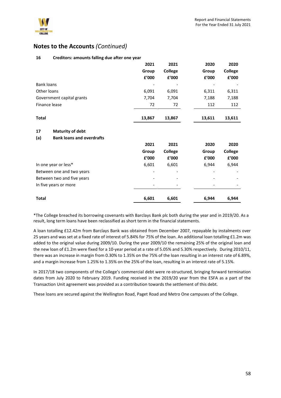

### **16 Creditors: amounts falling due after one year**

|                                         | 2021   | 2021                   | 2020   | 2020           |
|-----------------------------------------|--------|------------------------|--------|----------------|
|                                         | Group  | <b>College</b>         | Group  | <b>College</b> |
|                                         | £'000  | ${\bf f}^{\prime}$ 000 | £'000  | £'000          |
| <b>Bank loans</b>                       |        |                        |        |                |
| Other loans                             | 6,091  | 6,091                  | 6,311  | 6,311          |
| Government capital grants               | 7,704  | 7,704                  | 7,188  | 7,188          |
| Finance lease                           | 72     | 72                     | 112    | 112            |
| <b>Total</b>                            | 13,867 | 13,867                 | 13,611 | 13,611         |
|                                         |        |                        |        |                |
| 17<br><b>Maturity of debt</b>           |        |                        |        |                |
| (a)<br><b>Bank loans and overdrafts</b> |        |                        |        |                |
|                                         | 2021   | 2021                   | 2020   | 2020           |
|                                         | Group  | <b>College</b>         | Group  | <b>College</b> |
|                                         | £'000  | £'000                  | £'000  | £'000          |
| In one year or less*                    | 6,601  | 6,601                  | 6,944  | 6,944          |
| Between one and two years               |        |                        |        |                |
| Between two and five years              |        |                        |        |                |
| In five years or more                   |        |                        |        |                |
| <b>Total</b>                            | 6,601  | 6,601                  | 6,944  | 6,944          |

\*The College breached its borrowing covenants with Barclays Bank plc both during the year and in 2019/20. As a result, long term loans have been reclassified as short term in the financial statements.

A loan totalling £12.42m from Barclays Bank was obtained from December 2007, repayable by instalments over 25 years and was set at a fixed rate of interest of 5.84% for 75% of the loan. An additional loan totalling £1.2m was added to the original value during 2009/10. During the year 2009/10 the remaining 25% of the original loan and the new loan of £1.2m were fixed for a 10-year period at a rate of 5.05% and 5.30% respectively. During 2010/11, there was an increase in margin from 0.30% to 1.35% on the 75% of the loan resulting in an interest rate of 6.89%, and a margin increase from 1.25% to 1.35% on the 25% of the loan, resulting in an interest rate of 5.15%.

In 2017/18 two components of the College's commercial debt were re-structured, bringing forward termination dates from July 2020 to February 2019. Funding received in the 2019/20 year from the ESFA as a part of the Transaction Unit agreement was provided as a contribution towards the settlement of this debt.

These loans are secured against the Wellington Road, Paget Road and Metro One campuses of the College.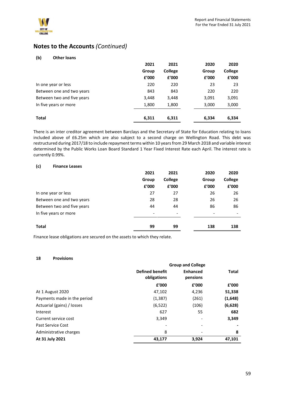

| (b)<br><b>Other loans</b>  |       |                |       |         |
|----------------------------|-------|----------------|-------|---------|
|                            | 2021  | 2021           | 2020  | 2020    |
|                            | Group | <b>College</b> | Group | College |
|                            | £'000 | £'000          | £'000 | £'000   |
| In one year or less        | 220   | 220            | 23    | 23      |
| Between one and two years  | 843   | 843            | 220   | 220     |
| Between two and five years | 3,448 | 3,448          | 3,091 | 3,091   |
| In five years or more      | 1,800 | 1,800          | 3,000 | 3,000   |
| <b>Total</b>               | 6,311 | 6,311          | 6,334 | 6,334   |

There is an inter creditor agreement between Barclays and the Secretary of State for Education relating to loans included above of £6.25m which are also subject to a second charge on Wellington Road. This debt was restructured during 2017/18 to include repayment terms within 10 years from 29 March 2018 and variable interest determined by the Public Works Loan Board Standard 1 Year Fixed Interest Rate each April. The interest rate is currently 0.99%.

### **(c) Finance Leases**

|                            | 2021           | 2021                     | 2020           | 2020             |
|----------------------------|----------------|--------------------------|----------------|------------------|
|                            | Group<br>£'000 | <b>College</b><br>£'000  | Group<br>£'000 | College<br>£'000 |
| In one year or less        | 27             | 27                       | 26             | 26               |
| Between one and two years  | 28             | 28                       | 26             | 26               |
| Between two and five years | 44             | 44                       | 86             | 86               |
| In five years or more      | -              | $\overline{\phantom{a}}$ |                |                  |
| <b>Total</b>               | 99             | 99                       | 138            | 138              |

Finance lease obligations are secured on the assets to which they relate.

#### **18 Provisions**

|                             | <b>Group and College</b>              |                             |         |
|-----------------------------|---------------------------------------|-----------------------------|---------|
|                             | <b>Defined benefit</b><br>obligations | <b>Enhanced</b><br>pensions | Total   |
|                             | f'000                                 | f'000                       | f'000   |
| At 1 August 2020            | 47,102                                | 4,236                       | 51,338  |
| Payments made in the period | (1, 387)                              | (261)                       | (1,648) |
| Actuarial (gains) / losses  | (6, 522)                              | (106)                       | (6,628) |
| Interest                    | 627                                   | 55                          | 682     |
| Current service cost        | 3,349                                 |                             | 3,349   |
| Past Service Cost           |                                       |                             |         |
| Administrative charges      | 8                                     |                             | 8       |
| At 31 July 2021             | 43,177                                | 3,924                       | 47,101  |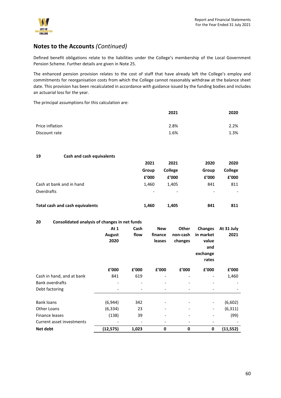

Defined benefit obligations relate to the liabilities under the College's membership of the Local Government Pension Scheme. Further details are given in Note 25.

The enhanced pension provision relates to the cost of staff that have already left the College's employ and commitments for reorganisation costs from which the College cannot reasonably withdraw at the balance sheet date. This provision has been recalculated in accordance with guidance issued by the funding bodies and includes an actuarial loss for the year.

The principal assumptions for this calculation are:

|                 | 2021 | 2020 |
|-----------------|------|------|
| Price inflation | 2.8% | 2.2% |
| Discount rate   | 1.6% | 1.3% |

### **19 Cash and cash equivalents**

|                                 | 2021  | 2021    | 2020  | 2020    |
|---------------------------------|-------|---------|-------|---------|
|                                 | Group | College | Group | College |
|                                 | f'000 | £'000   | £'000 | f'000   |
| Cash at bank and in hand        | 1.460 | 1,405   | 841   | 811     |
| Overdrafts                      |       |         |       |         |
| Total cash and cash equivalents | 1.460 | 1,405   | 841   | 811     |

### **20 Consolidated analysis of changes in net funds**

|                           | At 1      | Cash  | <b>New</b>               | <b>Other</b> | <b>Changes</b>           | At 31 July |
|---------------------------|-----------|-------|--------------------------|--------------|--------------------------|------------|
|                           | August    | flow  | finance                  | non-cash     | in market                | 2021       |
|                           | 2020      |       | leases                   | changes      | value                    |            |
|                           |           |       |                          |              | and                      |            |
|                           |           |       |                          |              | exchange                 |            |
|                           |           |       |                          |              | rates                    |            |
|                           | £'000     | f'000 | £'000                    | £'000        | £'000                    | £'000      |
| Cash in hand, and at bank | 841       | 619   | $\overline{\phantom{a}}$ |              |                          | 1,460      |
| <b>Bank overdrafts</b>    |           |       |                          |              |                          |            |
| Debt factoring            |           |       |                          |              |                          |            |
| <b>Bank loans</b>         | (6,944)   | 342   |                          |              | $\overline{\phantom{a}}$ | (6,602)    |
| Other Loans               | (6, 334)  | 23    |                          |              |                          | (6, 311)   |
| Finance leases            | (138)     | 39    | $\overline{\phantom{a}}$ |              |                          | (99)       |
| Current asset investments |           |       |                          |              |                          |            |
| Net debt                  | (12, 575) | 1,023 | 0                        | 0            | 0                        | (11, 552)  |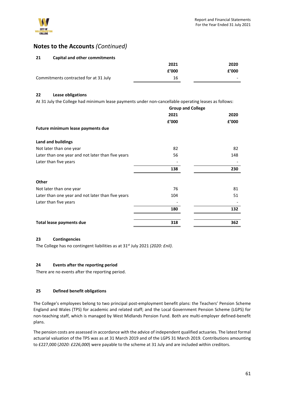

### **21 Capital and other commitments**

|                                       | 2021  | 2020                     |
|---------------------------------------|-------|--------------------------|
|                                       | f'000 | £'000                    |
| Commitments contracted for at 31 July | 16    | $\overline{\phantom{0}}$ |

### **22 Lease obligations**

At 31 July the College had minimum lease payments under non-cancellable operating leases as follows:

|                                                   | <b>Group and College</b> |       |  |  |
|---------------------------------------------------|--------------------------|-------|--|--|
|                                                   | 2021                     | 2020  |  |  |
|                                                   | £'000                    | £'000 |  |  |
| Future minimum lease payments due                 |                          |       |  |  |
| Land and buildings                                |                          |       |  |  |
| Not later than one year                           | 82                       | 82    |  |  |
| Later than one year and not later than five years | 56                       | 148   |  |  |
| Later than five years                             |                          |       |  |  |
|                                                   | 138                      | 230   |  |  |
| Other                                             |                          |       |  |  |
| Not later than one year                           | 76                       | 81    |  |  |
| Later than one year and not later than five years | 104                      | 51    |  |  |
| Later than five years                             |                          |       |  |  |
|                                                   | 180                      | 132   |  |  |
| Total lease payments due                          | 318                      | 362   |  |  |

### **23 Contingencies**

The College has no contingent liabilities as at 31st July 2021 *(2020: £nil)*.

### **24 Events after the reporting period**

There are no events after the reporting period.

### **25 Defined benefit obligations**

The College's employees belong to two principal post-employment benefit plans: the Teachers' Pension Scheme England and Wales (TPS) for academic and related staff; and the Local Government Pension Scheme (LGPS) for non-teaching staff, which is managed by West Midlands Pension Fund. Both are multi-employer defined-benefit plans.

The pension costs are assessed in accordance with the advice of independent qualified actuaries. The latest formal actuarial valuation of the TPS was as at 31 March 2019 and of the LGPS 31 March 2019. Contributions amounting to £227,000 (*2020: £226,000*) were payable to the scheme at 31 July and are included within creditors.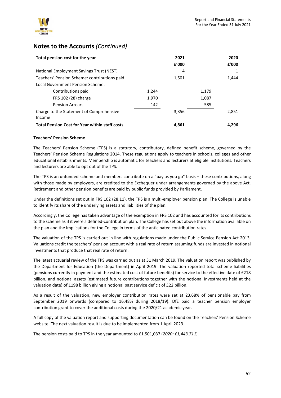

| Total pension cost for the year                       |       | 2021<br>f'000 |       | 2020<br>f'000 |
|-------------------------------------------------------|-------|---------------|-------|---------------|
| National Employment Savings Trust (NEST)              |       | 4             |       |               |
| Teachers' Pension Scheme: contributions paid          |       | 1,501         |       | 1,444         |
| Local Government Pension Scheme:                      |       |               |       |               |
| Contributions paid                                    | 1.244 |               | 1,179 |               |
| FRS 102 (28) charge                                   | 1,970 |               | 1,087 |               |
| <b>Pension Arrears</b>                                | 142   |               | 585   |               |
| Charge to the Statement of Comprehensive<br>Income    |       | 3,356         |       | 2,851         |
| <b>Total Pension Cost for Year within staff costs</b> |       | 4.861         |       | 4.296         |

### **Teachers' Pension Scheme**

The Teachers' Pension Scheme (TPS) is a statutory, contributory, defined benefit scheme, governed by the Teachers' Pension Scheme Regulations 2014. These regulations apply to teachers in schools, colleges and other educational establishments. Membership is automatic for teachers and lecturers at eligible institutions. Teachers and lecturers are able to opt out of the TPS.

The TPS is an unfunded scheme and members contribute on a "pay as you go" basis – these contributions, along with those made by employers, are credited to the Exchequer under arrangements governed by the above Act. Retirement and other pension benefits are paid by public funds provided by Parliament.

Under the definitions set out in FRS 102 (28.11), the TPS is a multi-employer pension plan. The College is unable to identify its share of the underlying assets and liabilities of the plan.

Accordingly, the College has taken advantage of the exemption in FRS 102 and has accounted for its contributions to the scheme as if it were a defined-contribution plan. The College has set out above the information available on the plan and the implications for the College in terms of the anticipated contribution rates.

The valuation of the TPS is carried out in line with regulations made under the Public Service Pension Act 2013. Valuations credit the teachers' pension account with a real rate of return assuming funds are invested in notional investments that produce that real rate of return.

The latest actuarial review of the TPS was carried out as at 31 March 2019. The valuation report was published by the Department for Education (the Department) in April 2019. The valuation reported total scheme liabilities (pensions currently in payment and the estimated cost of future benefits) for service to the effective date of £218 billion, and notional assets (estimated future contributions together with the notional investments held at the valuation date) of £198 billion giving a notional past service deficit of £22 billion.

As a result of the valuation, new employer contribution rates were set at 23.68% of pensionable pay from September 2019 onwards (compared to 16.48% during 2018/19). DfE paid a teacher pension employer contribution grant to cover the additional costs during the 2020/21 academic year.

A full copy of the valuation report and supporting documentation can be found on the Teachers' Pension Scheme website. The next valuation result is due to be implemented from 1 April 2023.

The pension costs paid to TPS in the year amounted to £1,501,037 (*2020: £1,443,711*).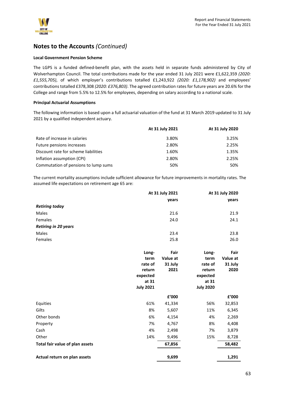

### **Local Government Pension Scheme**

The LGPS is a funded defined-benefit plan, with the assets held in separate funds administered by City of Wolverhampton Council. The total contributions made for the year ended 31 July 2021 were £1,622,359 *(2020: £1,555,705)*, of which employer's contributions totalled £1,243,922 *(2020: £1,178,902)* and employees' contributions totalled £378,308 *(2020: £376,803)*. The agreed contribution rates for future years are 20.6% for the College and range from 5.5% to 12.5% for employees, depending on salary according to a national scale.

### **Principal Actuarial Assumptions**

The following information is based upon a full actuarial valuation of the fund at 31 March 2019 updated to 31 July 2021 by a qualified independent actuary.

|                                      | At 31 July 2021 | At 31 July 2020 |
|--------------------------------------|-----------------|-----------------|
| Rate of increase in salaries         | 3.80%           | 3.25%           |
| Future pensions increases            | 2.80%           | 2.25%           |
| Discount rate for scheme liabilities | 1.60%           | 1.35%           |
| Inflation assumption (CPI)           | 2.80%           | 2.25%           |
| Commutation of pensions to lump sums | 50%             | 50%             |

The current mortality assumptions include sufficient allowance for future improvements in mortality rates. The assumed life expectations on retirement age 65 are:

|                             | At 31 July 2021 | At 31 July 2020 |
|-----------------------------|-----------------|-----------------|
|                             | years           | years           |
| <b>Retiring today</b>       |                 |                 |
| Males                       | 21.6            | 21.9            |
| Females                     | 24.0            | 24.1            |
| <b>Retiring in 20 years</b> |                 |                 |
| Males                       | 23.4            | 23.8            |
| Females                     | 25.8            | 26.0            |

|                                 | Long-<br>term<br>rate of<br>return<br>expected<br>at 31<br><b>July 2021</b> | Fair<br>Value at<br>31 July<br>2021 | Long-<br>term<br>rate of<br>return<br>expected<br>at 31<br><b>July 2020</b> | Fair<br>Value at<br>31 July<br>2020 |
|---------------------------------|-----------------------------------------------------------------------------|-------------------------------------|-----------------------------------------------------------------------------|-------------------------------------|
|                                 |                                                                             | £'000                               |                                                                             | £'000                               |
| Equities                        | 61%                                                                         | 41,334                              | 56%                                                                         | 32,853                              |
| Gilts                           | 8%                                                                          | 5,607                               | 11%                                                                         | 6,345                               |
| Other bonds                     | 6%                                                                          | 4,154                               | 4%                                                                          | 2,269                               |
| Property                        | 7%                                                                          | 4,767                               | 8%                                                                          | 4,408                               |
| Cash                            | 4%                                                                          | 2,498                               | 7%                                                                          | 3,879                               |
| Other                           | 14%                                                                         | 9,496                               | 15%                                                                         | 8,728                               |
| Total fair value of plan assets |                                                                             | 67,856                              |                                                                             | 58,482                              |
| Actual return on plan assets    |                                                                             | 9,699                               |                                                                             | 1,291                               |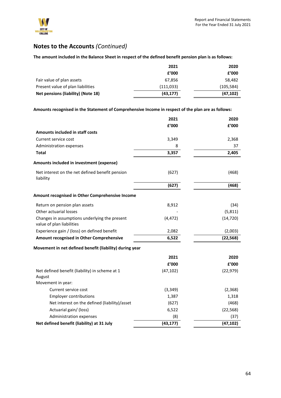

### **The amount included in the Balance Sheet in respect of the defined benefit pension plan is as follows:**

|                                    | 2021      | 2020       |
|------------------------------------|-----------|------------|
|                                    | £'000     | £'000      |
| Fair value of plan assets          | 67.856    | 58,482     |
| Present value of plan liabilities  | (111,033) | (105, 584) |
| Net pensions (liability) (Note 18) | (43, 177) | (47, 102)  |

**Amounts recognised in the Statement of Comprehensive Income in respect of the plan are as follows:**

|                                                                            | 2021      | 2020      |
|----------------------------------------------------------------------------|-----------|-----------|
|                                                                            | f'000     | £'000     |
| Amounts included in staff costs                                            |           |           |
| Current service cost                                                       | 3,349     | 2,368     |
| Administration expenses                                                    | 8         | 37        |
| <b>Total</b>                                                               | 3,357     | 2,405     |
| Amounts included in investment (expense)                                   |           |           |
| Net interest on the net defined benefit pension<br>liability               | (627)     | (468)     |
|                                                                            | (627)     | (468)     |
| Amount recognised in Other Comprehensive Income                            |           |           |
| Return on pension plan assets                                              | 8,912     | (34)      |
| Other actuarial losses                                                     |           | (5,811)   |
| Changes in assumptions underlying the present<br>value of plan liabilities | (4, 472)  | (14, 720) |
| Experience gain / (loss) on defined benefit                                | 2,082     | (2,003)   |
| Amount recognised in Other Comprehensive                                   | 6,522     | (22, 568) |
| Movement in net defined benefit (liability) during year                    |           |           |
|                                                                            | 2021      | 2020      |
|                                                                            | £'000     | £'000     |
| Net defined benefit (liability) in scheme at 1<br>August                   | (47, 102) | (22, 979) |
| Movement in year:                                                          |           |           |
| Current service cost                                                       | (3, 349)  | (2,368)   |
| <b>Employer contributions</b>                                              | 1,387     | 1,318     |
| Net interest on the defined (liability)/asset                              | (627)     | (468)     |
| Actuarial gain/ (loss)                                                     | 6,522     | (22, 568) |
| Administration expenses                                                    | (8)       | (37)      |
| Net defined benefit (liability) at 31 July                                 | (43, 177) | (47, 102) |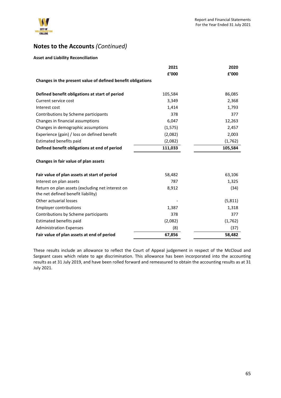

### **Asset and Liability Reconciliation**

|                                                                                        | 2021     | 2020     |
|----------------------------------------------------------------------------------------|----------|----------|
|                                                                                        | f'000    | £'000    |
| Changes in the present value of defined benefit obligations                            |          |          |
| Defined benefit obligations at start of period                                         | 105,584  | 86,085   |
| Current service cost                                                                   | 3,349    | 2,368    |
| Interest cost                                                                          | 1,414    | 1,793    |
| Contributions by Scheme participants                                                   | 378      | 377      |
| Changes in financial assumptions                                                       | 6,047    | 12,263   |
| Changes in demographic assumptions                                                     | (1, 575) | 2,457    |
| Experience (gain) / loss on defined benefit                                            | (2,082)  | 2,003    |
| Estimated benefits paid                                                                | (2,082)  | (1,762)  |
| Defined benefit obligations at end of period                                           | 111,033  | 105,584  |
| Changes in fair value of plan assets                                                   |          |          |
| Fair value of plan assets at start of period                                           | 58,482   | 63,106   |
| Interest on plan assets                                                                | 787      | 1,325    |
| Return on plan assets (excluding net interest on<br>the net defined benefit liability) | 8,912    | (34)     |
| Other actuarial losses                                                                 |          | (5, 811) |
| <b>Employer contributions</b>                                                          | 1,387    | 1,318    |
| Contributions by Scheme participants                                                   | 378      | 377      |
| Estimated benefits paid                                                                | (2,082)  | (1,762)  |
| <b>Administration Expenses</b>                                                         | (8)      | (37)     |
| Fair value of plan assets at end of period                                             | 67,856   | 58,482   |

These results include an allowance to reflect the Court of Appeal judgement in respect of the McCloud and Sargeant cases which relate to age discrimination. This allowance has been incorporated into the accounting results as at 31 July 2019, and have been rolled forward and remeasured to obtain the accounting results as at 31 July 2021.